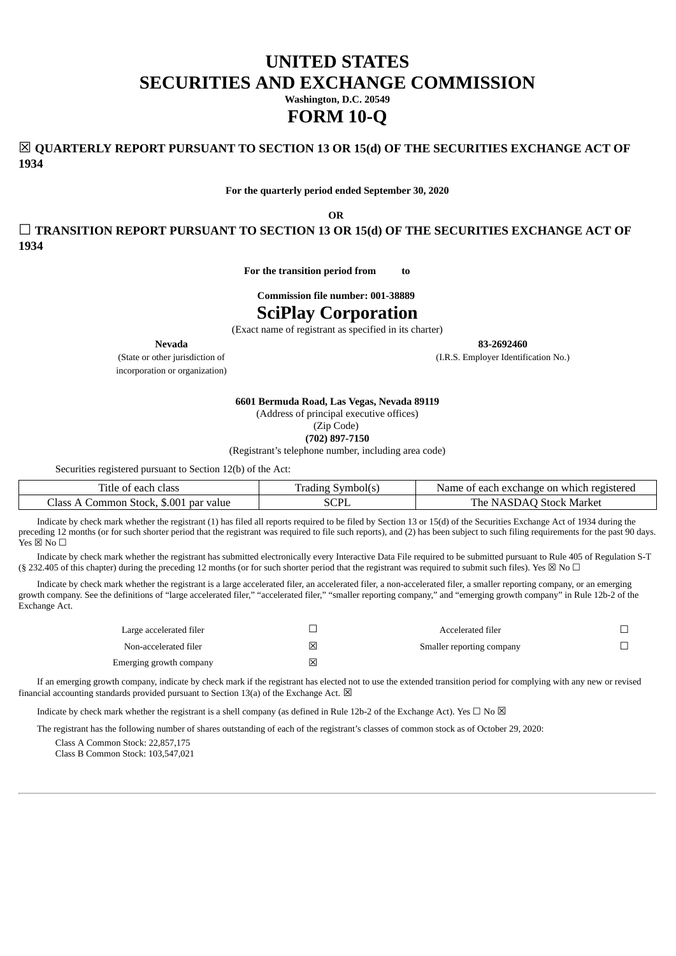# **UNITED STATES SECURITIES AND EXCHANGE COMMISSION Washington, D.C. 20549 FORM 10-Q**

☒ **QUARTERLY REPORT PURSUANT TO SECTION 13 OR 15(d) OF THE SECURITIES EXCHANGE ACT OF 1934**

**For the quarterly period ended September 30, 2020**

**OR**

☐ **TRANSITION REPORT PURSUANT TO SECTION 13 OR 15(d) OF THE SECURITIES EXCHANGE ACT OF 1934**

**For the transition period from to**

**Commission file number: 001-38889**

# **SciPlay Corporation**

(Exact name of registrant as specified in its charter)

incorporation or organization)

**Nevada 83-2692460**

(State or other jurisdiction of (I.R.S. Employer Identification No.)

**6601 Bermuda Road, Las Vegas, Nevada 89119**

(Address of principal executive offices)

(Zip Code)

**(702) 897-7150** (Registrant's telephone number, including area code)

Securities registered pursuant to Section 12(b) of the Act:

| ÷,<br>Title of each class      | Trading<br>Symbol(s) | Name of each exchange on which registered |
|--------------------------------|----------------------|-------------------------------------------|
| Common Stock, \$.001 par value | זסר:                 | The NASDAC                                |
| Llass A                        | - SUPL               | ∪ Stock Market                            |

Indicate by check mark whether the registrant (1) has filed all reports required to be filed by Section 13 or 15(d) of the Securities Exchange Act of 1934 during the preceding 12 months (or for such shorter period that the registrant was required to file such reports), and (2) has been subject to such filing requirements for the past 90 days.  $Y_{PS} \boxtimes N_0 \square$ 

Indicate by check mark whether the registrant has submitted electronically every Interactive Data File required to be submitted pursuant to Rule 405 of Regulation S-T (§ 232.405 of this chapter) during the preceding 12 months (or for such shorter period that the registrant was required to submit such files). Yes  $\boxtimes$  No  $\Box$ 

Indicate by check mark whether the registrant is a large accelerated filer, an accelerated filer, a non-accelerated filer, a smaller reporting company, or an emerging growth company. See the definitions of "large accelerated filer," "accelerated filer," "smaller reporting company," and "emerging growth company" in Rule 12b-2 of the Exchange Act.

| Large accelerated filer |   | Accelerated filer         |  |
|-------------------------|---|---------------------------|--|
| Non-accelerated filer   | X | Smaller reporting company |  |
| Emerging growth company | 冈 |                           |  |

If an emerging growth company, indicate by check mark if the registrant has elected not to use the extended transition period for complying with any new or revised financial accounting standards provided pursuant to Section 13(a) of the Exchange Act.  $\boxtimes$ 

Indicate by check mark whether the registrant is a shell company (as defined in Rule 12b-2 of the Exchange Act). Yes  $\Box$  No  $\boxtimes$ 

The registrant has the following number of shares outstanding of each of the registrant's classes of common stock as of October 29, 2020:

Class A Common Stock: 22,857,175

Class B Common Stock: 103,547,021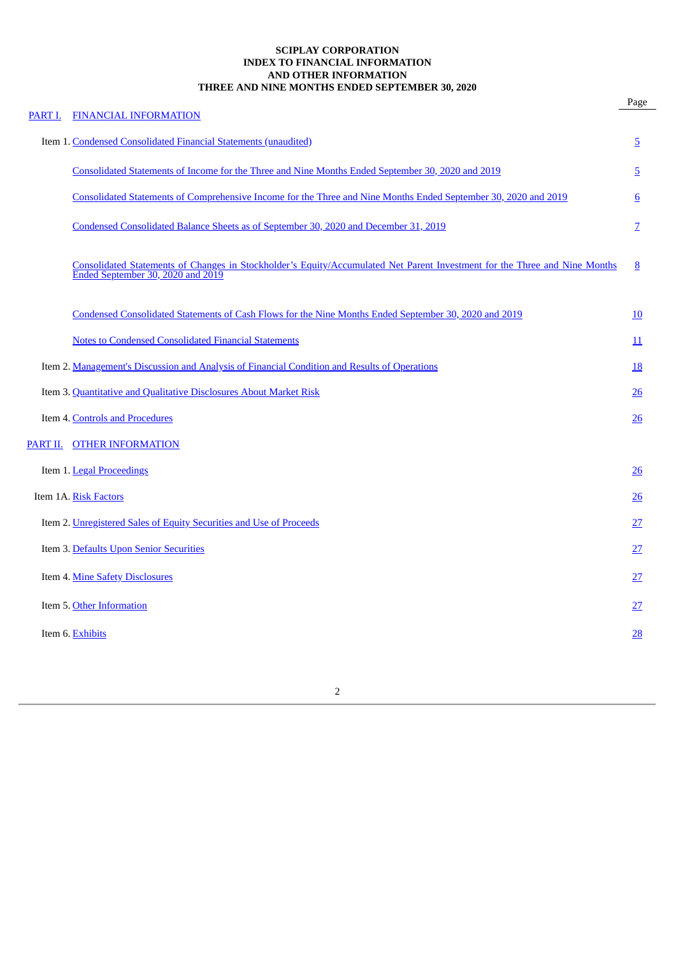# **SCIPLAY CORPORATION INDEX TO FINANCIAL INFORMATION AND OTHER INFORMATION THREE AND NINE MONTHS ENDED SEPTEMBER 30, 2020**

|         |                                                                                                                                                                 | Page             |
|---------|-----------------------------------------------------------------------------------------------------------------------------------------------------------------|------------------|
| PART I. | <b>FINANCIAL INFORMATION</b>                                                                                                                                    |                  |
|         | Item 1. Condensed Consolidated Financial Statements (unaudited)                                                                                                 | $\overline{5}$   |
|         | Consolidated Statements of Income for the Three and Nine Months Ended September 30, 2020 and 2019                                                               | $\overline{5}$   |
|         | Consolidated Statements of Comprehensive Income for the Three and Nine Months Ended September 30, 2020 and 2019                                                 | $6 \overline{6}$ |
|         | Condensed Consolidated Balance Sheets as of September 30, 2020 and December 31, 2019                                                                            | $\overline{Z}$   |
|         | Consolidated Statements of Changes in Stockholder's Equity/Accumulated Net Parent Investment for the Three and Nine Months<br>Ended September 30, 2020 and 2019 | 8                |
|         | Condensed Consolidated Statements of Cash Flows for the Nine Months Ended September 30, 2020 and 2019                                                           | 10               |
|         | <b>Notes to Condensed Consolidated Financial Statements</b>                                                                                                     | 11               |
|         | Item 2. Management's Discussion and Analysis of Financial Condition and Results of Operations                                                                   | <u>18</u>        |
|         | Item 3. Quantitative and Qualitative Disclosures About Market Risk                                                                                              | 26               |
|         | Item 4. Controls and Procedures                                                                                                                                 | 26               |
|         | PART II. OTHER INFORMATION                                                                                                                                      |                  |
|         | Item 1. Legal Proceedings                                                                                                                                       | 26               |
|         | Item 1A. Risk Factors                                                                                                                                           | 26               |
|         | Item 2. Unregistered Sales of Equity Securities and Use of Proceeds                                                                                             | 27               |
|         | Item 3. Defaults Upon Senior Securities                                                                                                                         | 27               |
|         | Item 4. Mine Safety Disclosures                                                                                                                                 | 27               |
|         | Item 5. Other Information                                                                                                                                       | 27               |
|         | Item 6. Exhibits                                                                                                                                                | 28               |
|         |                                                                                                                                                                 |                  |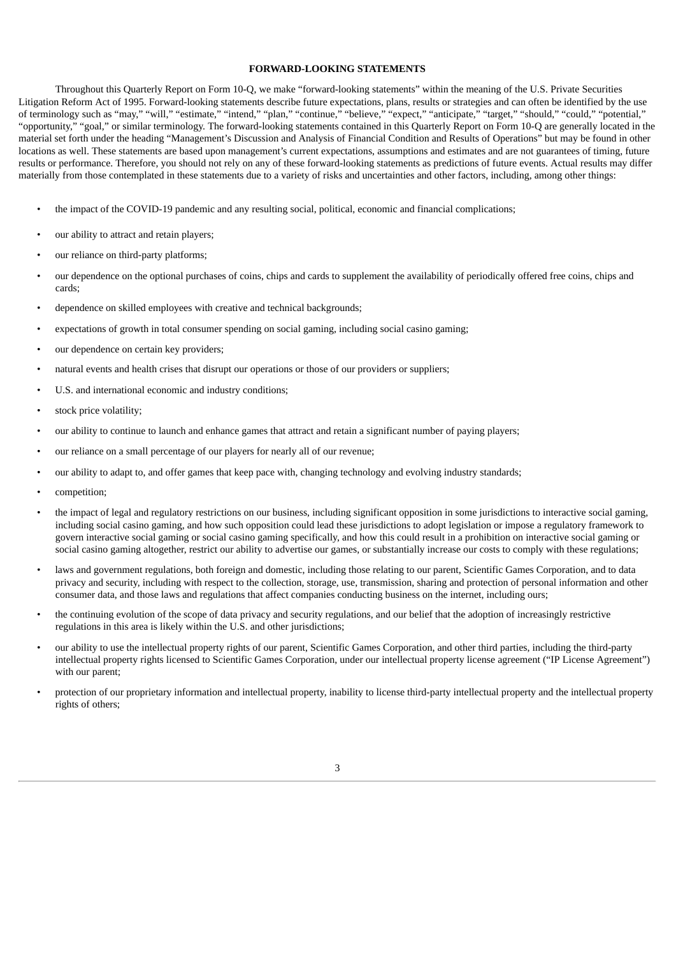# **FORWARD-LOOKING STATEMENTS**

Throughout this Quarterly Report on Form 10-Q, we make "forward-looking statements" within the meaning of the U.S. Private Securities Litigation Reform Act of 1995. Forward-looking statements describe future expectations, plans, results or strategies and can often be identified by the use of terminology such as "may," "will," "estimate," "intend," "plan," "continue," "believe," "expect," "anticipate," "target," "should," "could," "potential," "opportunity," "goal," or similar terminology. The forward-looking statements contained in this Quarterly Report on Form 10-Q are generally located in the material set forth under the heading "Management's Discussion and Analysis of Financial Condition and Results of Operations" but may be found in other locations as well. These statements are based upon management's current expectations, assumptions and estimates and are not guarantees of timing, future results or performance. Therefore, you should not rely on any of these forward-looking statements as predictions of future events. Actual results may differ materially from those contemplated in these statements due to a variety of risks and uncertainties and other factors, including, among other things:

- the impact of the COVID-19 pandemic and any resulting social, political, economic and financial complications;
- our ability to attract and retain players:
- our reliance on third-party platforms;
- our dependence on the optional purchases of coins, chips and cards to supplement the availability of periodically offered free coins, chips and cards;
- dependence on skilled employees with creative and technical backgrounds;
- expectations of growth in total consumer spending on social gaming, including social casino gaming;
- our dependence on certain key providers;
- natural events and health crises that disrupt our operations or those of our providers or suppliers;
- U.S. and international economic and industry conditions;
- stock price volatility;
- our ability to continue to launch and enhance games that attract and retain a significant number of paying players;
- our reliance on a small percentage of our players for nearly all of our revenue;
- our ability to adapt to, and offer games that keep pace with, changing technology and evolving industry standards;
- competition;
- the impact of legal and regulatory restrictions on our business, including significant opposition in some jurisdictions to interactive social gaming, including social casino gaming, and how such opposition could lead these jurisdictions to adopt legislation or impose a regulatory framework to govern interactive social gaming or social casino gaming specifically, and how this could result in a prohibition on interactive social gaming or social casino gaming altogether, restrict our ability to advertise our games, or substantially increase our costs to comply with these regulations;
- laws and government regulations, both foreign and domestic, including those relating to our parent, Scientific Games Corporation, and to data privacy and security, including with respect to the collection, storage, use, transmission, sharing and protection of personal information and other consumer data, and those laws and regulations that affect companies conducting business on the internet, including ours;
- the continuing evolution of the scope of data privacy and security regulations, and our belief that the adoption of increasingly restrictive regulations in this area is likely within the U.S. and other jurisdictions;
- our ability to use the intellectual property rights of our parent, Scientific Games Corporation, and other third parties, including the third-party intellectual property rights licensed to Scientific Games Corporation, under our intellectual property license agreement ("IP License Agreement") with our parent;
- protection of our proprietary information and intellectual property, inability to license third-party intellectual property and the intellectual property rights of others;
	- 3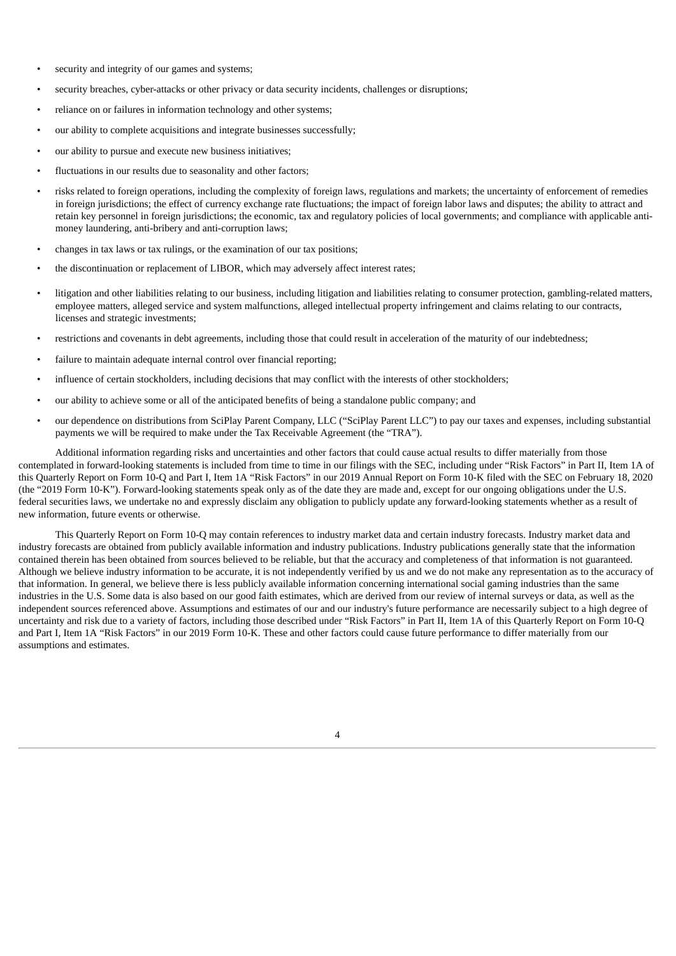- security and integrity of our games and systems;
- security breaches, cyber-attacks or other privacy or data security incidents, challenges or disruptions;
- reliance on or failures in information technology and other systems;
- our ability to complete acquisitions and integrate businesses successfully;
- our ability to pursue and execute new business initiatives;
- fluctuations in our results due to seasonality and other factors;
- risks related to foreign operations, including the complexity of foreign laws, regulations and markets; the uncertainty of enforcement of remedies in foreign jurisdictions; the effect of currency exchange rate fluctuations; the impact of foreign labor laws and disputes; the ability to attract and retain key personnel in foreign jurisdictions; the economic, tax and regulatory policies of local governments; and compliance with applicable antimoney laundering, anti-bribery and anti-corruption laws;
- changes in tax laws or tax rulings, or the examination of our tax positions;
- the discontinuation or replacement of LIBOR, which may adversely affect interest rates;
- litigation and other liabilities relating to our business, including litigation and liabilities relating to consumer protection, gambling-related matters, employee matters, alleged service and system malfunctions, alleged intellectual property infringement and claims relating to our contracts, licenses and strategic investments;
- restrictions and covenants in debt agreements, including those that could result in acceleration of the maturity of our indebtedness;
- failure to maintain adequate internal control over financial reporting;
- influence of certain stockholders, including decisions that may conflict with the interests of other stockholders;
- our ability to achieve some or all of the anticipated benefits of being a standalone public company; and
- our dependence on distributions from SciPlay Parent Company, LLC ("SciPlay Parent LLC") to pay our taxes and expenses, including substantial payments we will be required to make under the Tax Receivable Agreement (the "TRA").

Additional information regarding risks and uncertainties and other factors that could cause actual results to differ materially from those contemplated in forward-looking statements is included from time to time in our filings with the SEC, including under "Risk Factors" in Part II, Item 1A of this Quarterly Report on Form 10-Q and Part I, Item 1A "Risk Factors" in our 2019 Annual Report on Form 10-K filed with the SEC on February 18, 2020 (the "2019 Form 10-K"). Forward-looking statements speak only as of the date they are made and, except for our ongoing obligations under the U.S. federal securities laws, we undertake no and expressly disclaim any obligation to publicly update any forward-looking statements whether as a result of new information, future events or otherwise.

<span id="page-3-0"></span>This Quarterly Report on Form 10-Q may contain references to industry market data and certain industry forecasts. Industry market data and industry forecasts are obtained from publicly available information and industry publications. Industry publications generally state that the information contained therein has been obtained from sources believed to be reliable, but that the accuracy and completeness of that information is not guaranteed. Although we believe industry information to be accurate, it is not independently verified by us and we do not make any representation as to the accuracy of that information. In general, we believe there is less publicly available information concerning international social gaming industries than the same industries in the U.S. Some data is also based on our good faith estimates, which are derived from our review of internal surveys or data, as well as the independent sources referenced above. Assumptions and estimates of our and our industry's future performance are necessarily subject to a high degree of uncertainty and risk due to a variety of factors, including those described under "Risk Factors" in Part II, Item 1A of this Quarterly Report on Form 10-Q and Part I, Item 1A "Risk Factors" in our 2019 Form 10-K. These and other factors could cause future performance to differ materially from our assumptions and estimates.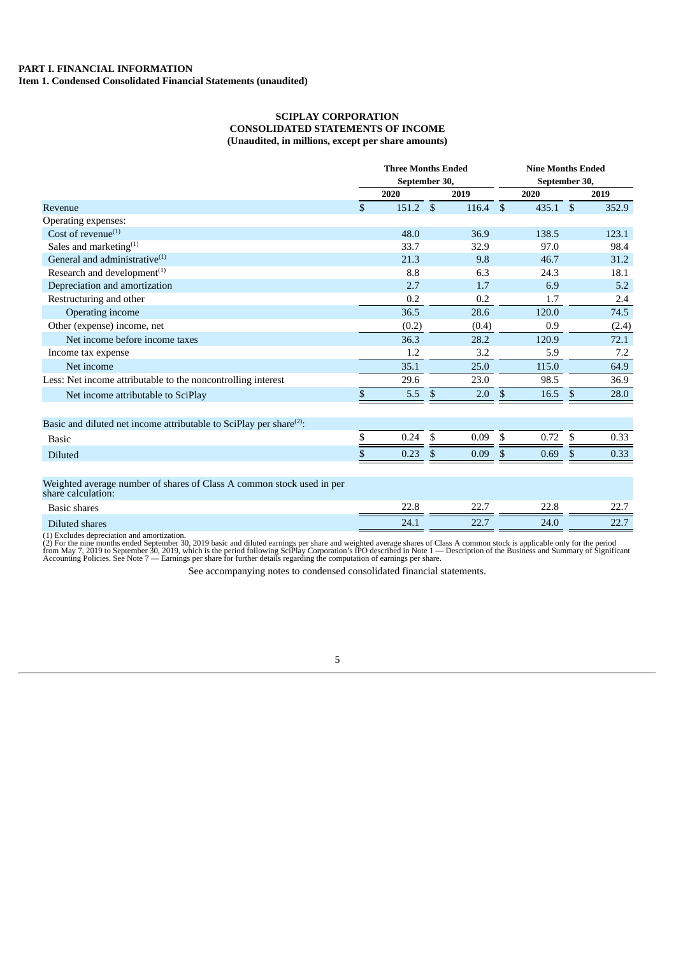# **SCIPLAY CORPORATION CONSOLIDATED STATEMENTS OF INCOME (Unaudited, in millions, except per share amounts)**

<span id="page-4-1"></span><span id="page-4-0"></span>

|                                                                                             | <b>Three Months Ended</b><br>September 30, |            |                           |            | <b>Nine Months Ended</b><br>September 30, |       |  |  |
|---------------------------------------------------------------------------------------------|--------------------------------------------|------------|---------------------------|------------|-------------------------------------------|-------|--|--|
|                                                                                             | 2020                                       | 2019       |                           | 2020       |                                           | 2019  |  |  |
| Revenue                                                                                     | \$<br>151.2 \$                             | $116.4$ \$ |                           | $435.1$ \$ |                                           | 352.9 |  |  |
| Operating expenses:                                                                         |                                            |            |                           |            |                                           |       |  |  |
| Cost of revenue <sup>(1)</sup>                                                              | 48.0                                       | 36.9       |                           | 138.5      |                                           | 123.1 |  |  |
| Sales and marketing <sup>(1)</sup>                                                          | 33.7                                       | 32.9       |                           | 97.0       |                                           | 98.4  |  |  |
| General and administrative $(1)$                                                            | 21.3                                       | 9.8        |                           | 46.7       |                                           | 31.2  |  |  |
| Research and development <sup>(1)</sup>                                                     | 8.8                                        | 6.3        |                           | 24.3       |                                           | 18.1  |  |  |
| Depreciation and amortization                                                               | 2.7                                        | 1.7        |                           | 6.9        |                                           | 5.2   |  |  |
| Restructuring and other                                                                     | 0.2                                        | 0.2        |                           | 1.7        |                                           | 2.4   |  |  |
| Operating income                                                                            | 36.5                                       | 28.6       |                           | 120.0      |                                           | 74.5  |  |  |
| Other (expense) income, net                                                                 | (0.2)                                      | (0.4)      |                           | 0.9        |                                           | (2.4) |  |  |
| Net income before income taxes                                                              | 36.3                                       | 28.2       |                           | 120.9      |                                           | 72.1  |  |  |
| Income tax expense                                                                          | 1.2                                        | 3.2        |                           | 5.9        |                                           | 7.2   |  |  |
| Net income                                                                                  | 35.1                                       | 25.0       |                           | 115.0      |                                           | 64.9  |  |  |
| Less: Net income attributable to the noncontrolling interest                                | 29.6                                       | 23.0       |                           | 98.5       |                                           | 36.9  |  |  |
| Net income attributable to SciPlay                                                          | \$<br>5.5                                  | \$<br>2.0  | $\boldsymbol{\mathsf{S}}$ | 16.5       | \$                                        | 28.0  |  |  |
| Basic and diluted net income attributable to SciPlay per share <sup>(2)</sup> :             |                                            |            |                           |            |                                           |       |  |  |
| <b>Basic</b>                                                                                | \$<br>0.24                                 | \$<br>0.09 | \$                        | 0.72       | \$                                        | 0.33  |  |  |
| <b>Diluted</b>                                                                              | \$<br>0.23                                 | \$<br>0.09 | \$                        | 0.69       | \$                                        | 0.33  |  |  |
|                                                                                             |                                            |            |                           |            |                                           |       |  |  |
| Weighted average number of shares of Class A common stock used in per<br>share calculation: |                                            |            |                           |            |                                           |       |  |  |
| <b>Basic shares</b>                                                                         | 22.8                                       | 22.7       |                           | 22.8       |                                           | 22.7  |  |  |
| Diluted shares                                                                              | 24.1                                       | 22.7       |                           | 24.0       |                                           | 22.7  |  |  |

<span id="page-4-2"></span>(1) Excludes depreciation and amortization.<br>(2) For the nine months ended September 30, 2019 basic and diluted earnings per share and weighted average shares of Class A common stock is applicable only for the period<br>from M

See accompanying notes to condensed consolidated financial statements.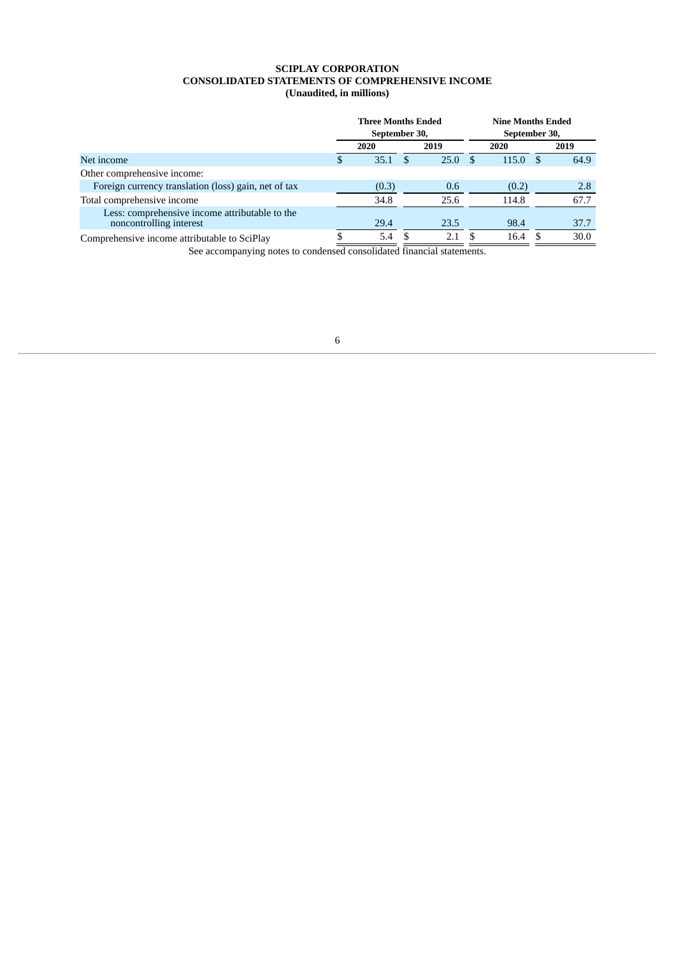# **SCIPLAY CORPORATION CONSOLIDATED STATEMENTS OF COMPREHENSIVE INCOME (Unaudited, in millions)**

|                                                                           | <b>Three Months Ended</b><br>September 30, |                |    |                                   |  | <b>Nine Months Ended</b><br>September 30, |      |      |  |
|---------------------------------------------------------------------------|--------------------------------------------|----------------|----|-----------------------------------|--|-------------------------------------------|------|------|--|
|                                                                           | 2020<br>2019<br>2020                       |                |    | 2019                              |  |                                           |      |      |  |
| Net income                                                                |                                            | 35.1           | -S | 25.0                              |  | 115.0                                     | - \$ | 64.9 |  |
| Other comprehensive income:                                               |                                            |                |    |                                   |  |                                           |      |      |  |
| Foreign currency translation (loss) gain, net of tax                      |                                            | (0.3)          |    | 0.6                               |  | (0.2)                                     |      | 2.8  |  |
| Total comprehensive income                                                |                                            | 34.8           |    | 25.6                              |  | 114.8                                     |      | 67.7 |  |
| Less: comprehensive income attributable to the<br>noncontrolling interest |                                            | 29.4           |    | 23.5                              |  | 98.4                                      |      | 37.7 |  |
| Comprehensive income attributable to SciPlay                              |                                            | 5.4            | -S | 2.1                               |  | 16.4                                      | - 56 | 30.0 |  |
|                                                                           |                                            | $-11.1 - 1.01$ |    | the control of the control of the |  |                                           |      |      |  |

<span id="page-5-0"></span>See accompanying notes to condensed consolidated financial statements.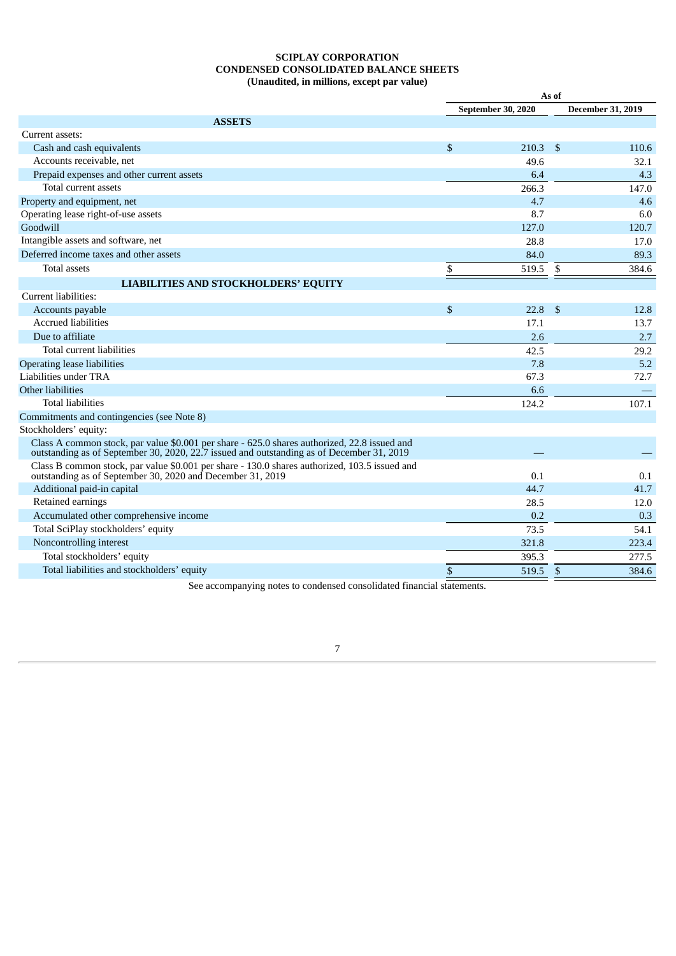# **SCIPLAY CORPORATION CONDENSED CONSOLIDATED BALANCE SHEETS (Unaudited, in millions, except par value)**

|                                                                                                                                                                                           |                |                    | As of |                          |  |  |
|-------------------------------------------------------------------------------------------------------------------------------------------------------------------------------------------|----------------|--------------------|-------|--------------------------|--|--|
|                                                                                                                                                                                           |                | September 30, 2020 |       | <b>December 31, 2019</b> |  |  |
| <b>ASSETS</b>                                                                                                                                                                             |                |                    |       |                          |  |  |
| Current assets:                                                                                                                                                                           |                |                    |       |                          |  |  |
| Cash and cash equivalents                                                                                                                                                                 | \$             | 210.3              | \$    | 110.6                    |  |  |
| Accounts receivable, net                                                                                                                                                                  |                | 49.6               |       | 32.1                     |  |  |
| Prepaid expenses and other current assets                                                                                                                                                 |                | 6.4                |       | 4.3                      |  |  |
| Total current assets                                                                                                                                                                      |                | 266.3              |       | 147.0                    |  |  |
| Property and equipment, net                                                                                                                                                               |                | 4.7                |       | 4.6                      |  |  |
| Operating lease right-of-use assets                                                                                                                                                       |                | 8.7                |       | 6.0                      |  |  |
| Goodwill                                                                                                                                                                                  |                | 127.0              |       | 120.7                    |  |  |
| Intangible assets and software, net                                                                                                                                                       |                | 28.8               |       | 17.0                     |  |  |
| Deferred income taxes and other assets                                                                                                                                                    |                | 84.0               |       | 89.3                     |  |  |
| <b>Total assets</b>                                                                                                                                                                       | \$             | 519.5              | \$    | 384.6                    |  |  |
| <b>LIABILITIES AND STOCKHOLDERS' EQUITY</b>                                                                                                                                               |                |                    |       |                          |  |  |
| Current liabilities:                                                                                                                                                                      |                |                    |       |                          |  |  |
| Accounts payable                                                                                                                                                                          | $\mathfrak{S}$ | 22.8               | \$    | 12.8                     |  |  |
| <b>Accrued liabilities</b>                                                                                                                                                                |                | 17.1               |       | 13.7                     |  |  |
| Due to affiliate                                                                                                                                                                          |                | 2.6                |       | 2.7                      |  |  |
| Total current liabilities                                                                                                                                                                 |                | 42.5               |       | 29.2                     |  |  |
| <b>Operating lease liabilities</b>                                                                                                                                                        |                | 7.8                |       | 5.2                      |  |  |
| Liabilities under TRA                                                                                                                                                                     |                | 67.3               |       | 72.7                     |  |  |
| <b>Other liabilities</b>                                                                                                                                                                  |                | 6.6                |       |                          |  |  |
| <b>Total liabilities</b>                                                                                                                                                                  |                | 124.2              |       | 107.1                    |  |  |
| Commitments and contingencies (see Note 8)                                                                                                                                                |                |                    |       |                          |  |  |
| Stockholders' equity:                                                                                                                                                                     |                |                    |       |                          |  |  |
| Class A common stock, par value \$0.001 per share - 625.0 shares authorized, 22.8 issued and<br>outstanding as of September 30, 2020, 22.7 issued and outstanding as of December 31, 2019 |                |                    |       |                          |  |  |
| Class B common stock, par value \$0.001 per share - 130.0 shares authorized, 103.5 issued and<br>outstanding as of September 30, 2020 and December 31, 2019                               |                | 0.1                |       | 0.1                      |  |  |
| Additional paid-in capital                                                                                                                                                                |                | 44.7               |       | 41.7                     |  |  |
| Retained earnings                                                                                                                                                                         |                | 28.5               |       | 12.0                     |  |  |
| Accumulated other comprehensive income                                                                                                                                                    |                | 0.2                |       | 0.3                      |  |  |
| Total SciPlay stockholders' equity                                                                                                                                                        |                | 73.5               |       | 54.1                     |  |  |
| Noncontrolling interest                                                                                                                                                                   |                | 321.8              |       | 223.4                    |  |  |
| Total stockholders' equity                                                                                                                                                                |                | 395.3              |       | 277.5                    |  |  |
| Total liabilities and stockholders' equity                                                                                                                                                | \$             | 519.5              | \$    | 384.6                    |  |  |
|                                                                                                                                                                                           |                |                    |       |                          |  |  |

<span id="page-6-0"></span>See accompanying notes to condensed consolidated financial statements.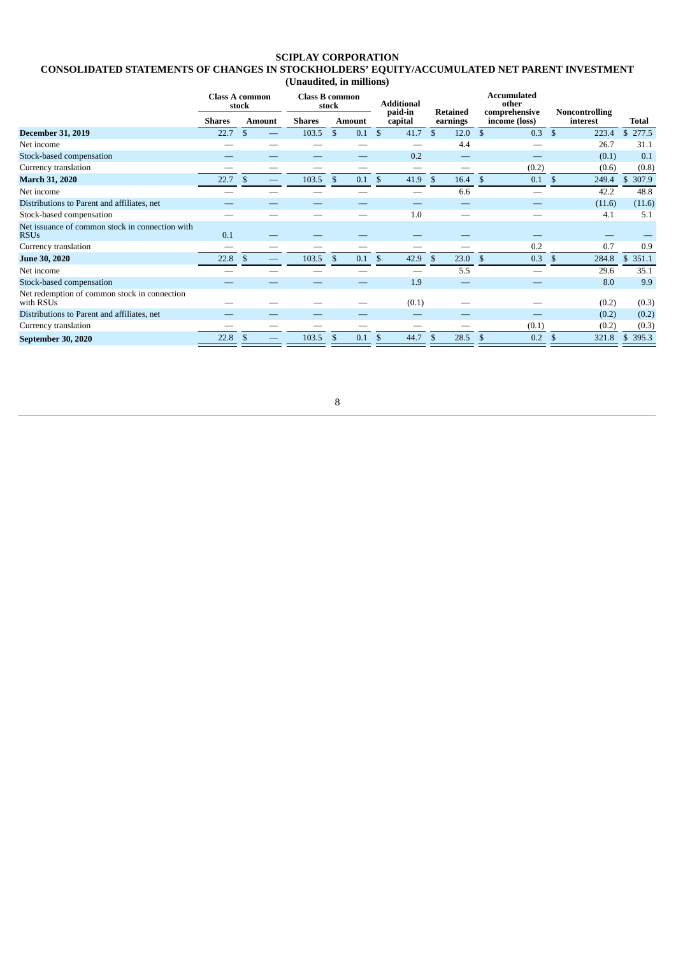# **SCIPLAY CORPORATION CONSOLIDATED STATEMENTS OF CHANGES IN STOCKHOLDERS' EQUITY/ACCUMULATED NET PARENT INVESTMENT (Unaudited, in millions)**

|                                                                | <b>Class A common</b> | stock         |               | <b>Class B common</b> | stock         |     |              | Additional<br>paid-in |                |                                              | Accumulated<br>other<br>comprehensive |              |                                   |                       |
|----------------------------------------------------------------|-----------------------|---------------|---------------|-----------------------|---------------|-----|--------------|-----------------------|----------------|----------------------------------------------|---------------------------------------|--------------|-----------------------------------|-----------------------|
|                                                                | <b>Shares</b>         |               | <b>Amount</b> | <b>Shares</b>         | <b>Amount</b> |     |              | capital               |                | <b>Retained</b><br>earnings<br>income (loss) |                                       |              | <b>Noncontrolling</b><br>interest | Total                 |
| <b>December 31, 2019</b>                                       | 22.7                  | $\mathcal{S}$ |               | 103.5                 | \$            | 0.1 | $\mathbf{s}$ | 41.7                  | $\mathbf{s}$   | 12.0                                         | 0.3<br>$\mathbf{s}$                   | $\mathbf{s}$ | 223.4                             | 277.5<br>$\mathbb{S}$ |
| Net income                                                     |                       |               |               |                       |               |     |              |                       |                | 4.4                                          |                                       |              | 26.7                              | 31.1                  |
| Stock-based compensation                                       |                       |               |               |                       |               |     |              | 0.2                   |                |                                              |                                       |              | (0.1)                             | 0.1                   |
| Currency translation                                           |                       |               |               |                       |               |     |              |                       |                | --                                           | (0.2)                                 |              | (0.6)                             | (0.8)                 |
| March 31, 2020                                                 | 22.7                  | \$.           |               | 103.5                 | \$            | 0.1 | \$           | 41.9                  | $\mathfrak{s}$ | 16.4                                         | 0.1<br>\$                             | -S           | 249.4                             | 307.9<br>\$           |
| Net income                                                     |                       |               |               |                       |               |     |              |                       |                | 6.6                                          |                                       |              | 42.2                              | 48.8                  |
| Distributions to Parent and affiliates, net                    |                       |               |               |                       |               |     |              |                       |                | _                                            |                                       |              | (11.6)                            | (11.6)                |
| Stock-based compensation                                       |                       |               |               |                       |               |     |              | 1.0                   |                |                                              |                                       |              | 4.1                               | 5.1                   |
| Net issuance of common stock in connection with<br><b>RSUs</b> | 0.1                   |               |               |                       |               |     |              |                       |                |                                              |                                       |              |                                   |                       |
| Currency translation                                           | --                    |               |               |                       |               |     |              |                       |                |                                              | 0.2                                   |              | 0.7                               | 0.9                   |
| <b>June 30, 2020</b>                                           | 22.8                  | \$            |               | 103.5                 | \$            | 0.1 | \$           | 42.9                  | $\mathfrak{s}$ | 23.0                                         | 0.3<br>\$                             | \$           | 284.8                             | 351.1<br>$\mathbb{S}$ |
| Net income                                                     |                       |               |               |                       |               |     |              |                       |                | 5.5                                          |                                       |              | 29.6                              | 35.1                  |
| Stock-based compensation                                       |                       |               |               |                       |               |     |              | 1.9                   |                |                                              |                                       |              | 8.0                               | 9.9                   |
| Net redemption of common stock in connection<br>with RSUs      |                       |               |               |                       |               |     |              | (0.1)                 |                |                                              |                                       |              | (0.2)                             | (0.3)                 |
| Distributions to Parent and affiliates, net                    |                       |               |               |                       |               |     |              |                       |                |                                              |                                       |              | (0.2)                             | (0.2)                 |
| Currency translation                                           |                       |               |               |                       |               |     |              |                       |                |                                              | (0.1)                                 |              | (0.2)                             | (0.3)                 |
| September 30, 2020                                             | 22.8                  | £.            |               | 103.5                 | $\mathbf{s}$  | 0.1 | \$           | 44.7                  | $\mathbf{s}$   | 28.5                                         | 0.2<br>\$                             | -S           | 321.8                             | $\mathbb{S}$<br>395.3 |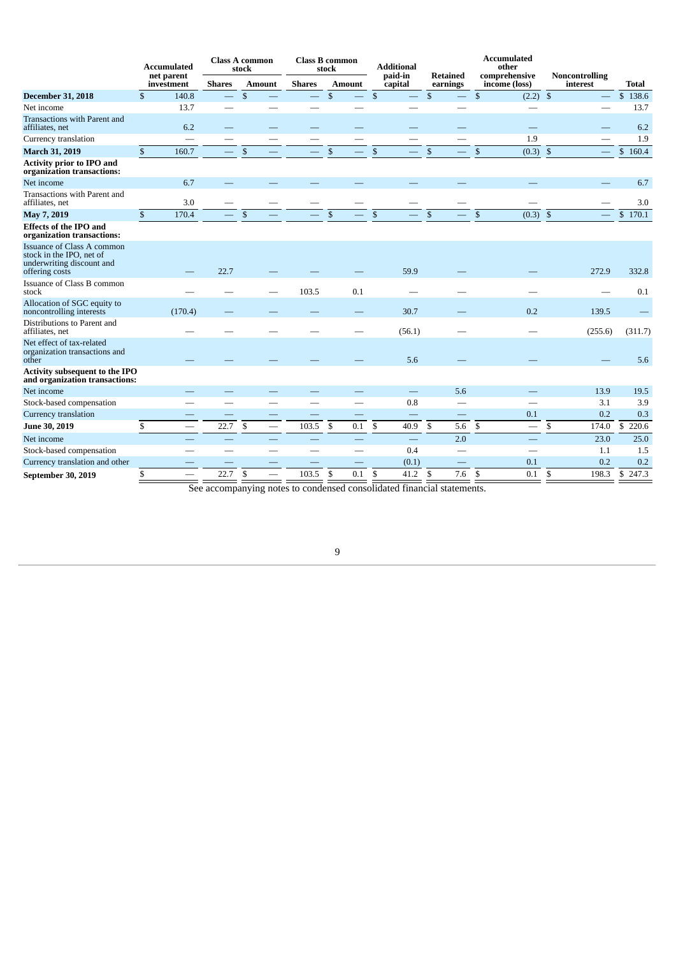|                                                                                                       | <b>Accumulated</b><br>net parent |            |               | <b>Class A common</b><br>stock |                          |               |               | <b>Class B common</b><br>stock |                    |                    |                | <b>Retained</b> | <b>Accumulated</b><br>other<br>comprehensive | Noncontrolling |                       |
|-------------------------------------------------------------------------------------------------------|----------------------------------|------------|---------------|--------------------------------|--------------------------|---------------|---------------|--------------------------------|--------------------|--------------------|----------------|-----------------|----------------------------------------------|----------------|-----------------------|
|                                                                                                       |                                  | investment | <b>Shares</b> |                                | <b>Amount</b>            | <b>Shares</b> |               | <b>Amount</b>                  |                    | paid-in<br>capital |                | earnings        | income (loss)                                | interest       | Total                 |
| <b>December 31, 2018</b>                                                                              | $\mathbb{S}$                     | 140.8      |               | $\mathbb{S}$                   |                          |               | $\mathbf{\$}$ |                                | $\mathcal{S}$      |                    | $\mathcal{S}$  |                 | $\mathcal{S}$<br>$(2.2)$ \$                  |                | $\mathbf{s}$<br>138.6 |
| Net income                                                                                            |                                  | 13.7       |               |                                |                          |               |               |                                |                    |                    |                |                 |                                              |                | 13.7                  |
| Transactions with Parent and<br>affiliates, net                                                       |                                  | 6.2        |               |                                |                          |               |               |                                |                    |                    |                |                 |                                              |                | 6.2                   |
| Currency translation                                                                                  |                                  |            |               |                                |                          |               |               |                                |                    |                    |                |                 | 1.9                                          |                | 1.9                   |
| <b>March 31, 2019</b>                                                                                 | $\mathbb{S}$                     | 160.7      |               | $\mathbb{S}$                   |                          |               | \$            |                                | $\mathbb{S}$       |                    | $\mathbb{S}$   |                 | $\mathfrak{s}$<br>$(0.3)$ \$                 |                | \$160.4               |
| Activity prior to IPO and<br>organization transactions:                                               |                                  |            |               |                                |                          |               |               |                                |                    |                    |                |                 |                                              |                |                       |
| Net income                                                                                            |                                  | 6.7        |               |                                |                          |               |               |                                |                    |                    |                |                 |                                              |                | 6.7                   |
| Transactions with Parent and<br>affiliates, net                                                       |                                  | 3.0        |               |                                |                          |               |               |                                |                    |                    |                |                 |                                              |                | 3.0                   |
| May 7, 2019                                                                                           | \$                               | 170.4      |               | $\mathbb{S}$                   |                          |               | \$            |                                | $\mathcal{S}$      |                    | $\mathfrak{S}$ |                 | $\mathcal{S}$<br>$(0.3)$ \$                  |                | \$170.1               |
| <b>Effects of the IPO and</b><br>organization transactions:                                           |                                  |            |               |                                |                          |               |               |                                |                    |                    |                |                 |                                              |                |                       |
| Issuance of Class A common<br>stock in the IPO, net of<br>underwriting discount and<br>offering costs |                                  |            | 22.7          |                                |                          |               |               |                                |                    | 59.9               |                |                 |                                              | 272.9          | 332.8                 |
| Issuance of Class B common<br>stock                                                                   |                                  |            |               |                                |                          | 103.5         |               | 0.1                            |                    |                    |                |                 |                                              |                | 0.1                   |
| Allocation of SGC equity to<br>noncontrolling interests                                               |                                  | (170.4)    |               |                                |                          |               |               |                                |                    | 30.7               |                |                 | 0.2                                          | 139.5          |                       |
| Distributions to Parent and<br>affiliates, net                                                        |                                  |            |               |                                |                          |               |               |                                |                    | (56.1)             |                |                 |                                              | (255.6)        | (311.7)               |
| Net effect of tax-related<br>organization transactions and<br>other                                   |                                  |            |               |                                |                          |               |               |                                |                    | 5.6                |                |                 |                                              |                | 5.6                   |
| Activity subsequent to the IPO<br>and organization transactions:                                      |                                  |            |               |                                |                          |               |               |                                |                    |                    |                |                 |                                              |                |                       |
| Net income                                                                                            |                                  |            |               |                                |                          |               |               |                                |                    | -                  |                | 5.6             |                                              | 13.9           | 19.5                  |
| Stock-based compensation                                                                              |                                  |            |               |                                |                          |               |               |                                |                    | 0.8                |                |                 |                                              | 3.1            | 3.9                   |
| <b>Currency translation</b>                                                                           |                                  |            |               |                                |                          |               |               |                                |                    |                    |                |                 | 0.1                                          | 0.2            | 0.3                   |
| June 30, 2019                                                                                         | \$                               |            | 22.7          | \$                             | $\overline{\phantom{0}}$ | 103.5         | \$            | 0.1                            | $\mathfrak{S}$     | 40.9               | \$             | 5.6             | $\mathbb{S}$                                 | \$<br>174.0    | \$<br>220.6           |
| Net income                                                                                            |                                  |            | –             |                                |                          |               |               |                                |                    | —                  |                | 2.0             | $\overline{\phantom{0}}$                     | 23.0           | 25.0                  |
| Stock-based compensation                                                                              |                                  |            | -             |                                |                          |               |               |                                |                    | 0.4                |                |                 |                                              | 1.1            | 1.5                   |
| Currency translation and other                                                                        |                                  |            |               |                                |                          |               |               |                                |                    | (0.1)              |                |                 | 0.1                                          | 0.2            | 0.2                   |
| <b>September 30, 2019</b>                                                                             | \$                               |            | 22.7          | \$                             |                          | 103.5         | $\mathbf S$   | 0.1                            | $\mathbf{\hat{S}}$ | 41.2               | \$             | 7.6             | $\mathcal{S}$<br>0.1                         | \$<br>198.3    | \$247.3               |

<span id="page-8-0"></span>See accompanying notes to condensed consolidated financial statements.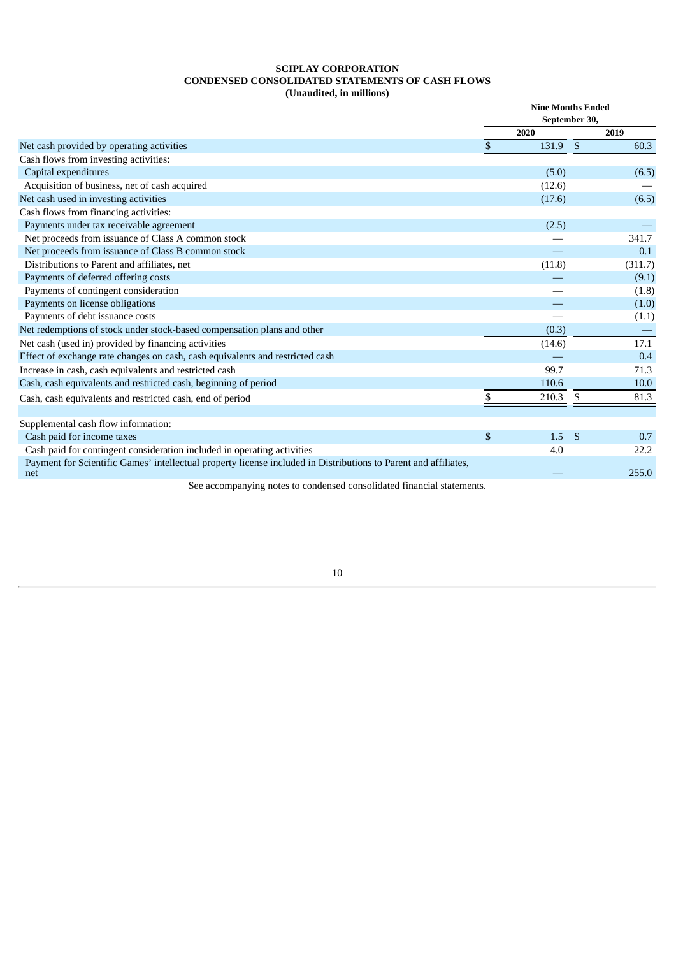# **SCIPLAY CORPORATION CONDENSED CONSOLIDATED STATEMENTS OF CASH FLOWS (Unaudited, in millions)**

|                                                                                                                        |              | <b>Nine Months Ended</b><br>September 30, |               |         |
|------------------------------------------------------------------------------------------------------------------------|--------------|-------------------------------------------|---------------|---------|
|                                                                                                                        |              | 2020                                      |               | 2019    |
| Net cash provided by operating activities                                                                              | $\mathbb{S}$ | 131.9                                     | \$            | 60.3    |
| Cash flows from investing activities:                                                                                  |              |                                           |               |         |
| Capital expenditures                                                                                                   |              | (5.0)                                     |               | (6.5)   |
| Acquisition of business, net of cash acquired                                                                          |              | (12.6)                                    |               |         |
| Net cash used in investing activities                                                                                  |              | (17.6)                                    |               | (6.5)   |
| Cash flows from financing activities:                                                                                  |              |                                           |               |         |
| Payments under tax receivable agreement                                                                                |              | (2.5)                                     |               |         |
| Net proceeds from issuance of Class A common stock                                                                     |              |                                           |               | 341.7   |
| Net proceeds from issuance of Class B common stock                                                                     |              |                                           |               | 0.1     |
| Distributions to Parent and affiliates, net                                                                            |              | (11.8)                                    |               | (311.7) |
| Payments of deferred offering costs                                                                                    |              |                                           |               | (9.1)   |
| Payments of contingent consideration                                                                                   |              |                                           |               | (1.8)   |
| Payments on license obligations                                                                                        |              |                                           |               | (1.0)   |
| Payments of debt issuance costs                                                                                        |              |                                           |               | (1.1)   |
| Net redemptions of stock under stock-based compensation plans and other                                                |              | (0.3)                                     |               |         |
| Net cash (used in) provided by financing activities                                                                    |              | (14.6)                                    |               | 17.1    |
| Effect of exchange rate changes on cash, cash equivalents and restricted cash                                          |              |                                           |               | 0.4     |
| Increase in cash, cash equivalents and restricted cash                                                                 |              | 99.7                                      |               | 71.3    |
| Cash, cash equivalents and restricted cash, beginning of period                                                        |              | 110.6                                     |               | 10.0    |
| Cash, cash equivalents and restricted cash, end of period                                                              |              | 210.3                                     | \$            | 81.3    |
| Supplemental cash flow information:                                                                                    |              |                                           |               |         |
| Cash paid for income taxes                                                                                             | \$           | 1.5                                       | $\mathbf{\$}$ | 0.7     |
| Cash paid for contingent consideration included in operating activities                                                |              | 4.0                                       |               | 22.2    |
| Payment for Scientific Games' intellectual property license included in Distributions to Parent and affiliates,<br>net |              |                                           |               | 255.0   |
| See accompanying notes to condensed consolidated financial statements.                                                 |              |                                           |               |         |

<span id="page-9-0"></span>See accompanying notes to condensed consolidated financial statements.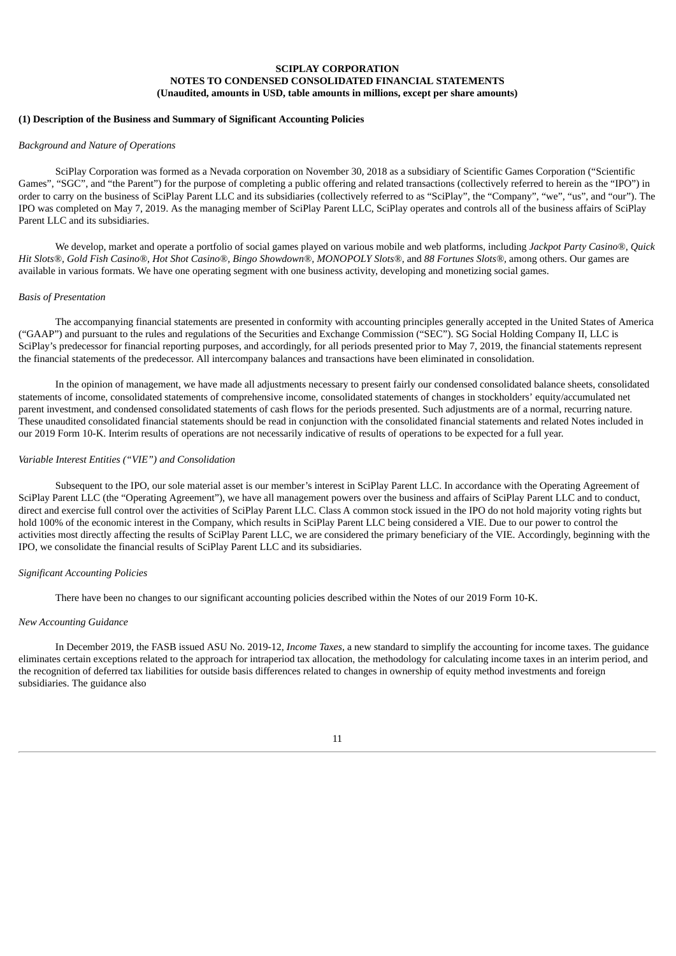# **SCIPLAY CORPORATION NOTES TO CONDENSED CONSOLIDATED FINANCIAL STATEMENTS (Unaudited, amounts in USD, table amounts in millions, except per share amounts)**

# **(1) Description of the Business and Summary of Significant Accounting Policies**

#### *Background and Nature of Operations*

SciPlay Corporation was formed as a Nevada corporation on November 30, 2018 as a subsidiary of Scientific Games Corporation ("Scientific Games", "SGC", and "the Parent") for the purpose of completing a public offering and related transactions (collectively referred to herein as the "IPO") in order to carry on the business of SciPlay Parent LLC and its subsidiaries (collectively referred to as "SciPlay", the "Company", "we", "us", and "our"). The IPO was completed on May 7, 2019. As the managing member of SciPlay Parent LLC, SciPlay operates and controls all of the business affairs of SciPlay Parent LLC and its subsidiaries.

We develop, market and operate a portfolio of social games played on various mobile and web platforms, including *Jackpot Party Casino®, Quick* Hit Slots®, Gold Fish Casino®, Hot Shot Casino®, Bingo Showdown®, MONOPOLY Slots®, and 88 Fortunes Slots®, among others. Our games are available in various formats. We have one operating segment with one business activity, developing and monetizing social games.

#### *Basis of Presentation*

The accompanying financial statements are presented in conformity with accounting principles generally accepted in the United States of America ("GAAP") and pursuant to the rules and regulations of the Securities and Exchange Commission ("SEC"). SG Social Holding Company II, LLC is SciPlay's predecessor for financial reporting purposes, and accordingly, for all periods presented prior to May 7, 2019, the financial statements represent the financial statements of the predecessor. All intercompany balances and transactions have been eliminated in consolidation.

In the opinion of management, we have made all adjustments necessary to present fairly our condensed consolidated balance sheets, consolidated statements of income, consolidated statements of comprehensive income, consolidated statements of changes in stockholders' equity/accumulated net parent investment, and condensed consolidated statements of cash flows for the periods presented. Such adjustments are of a normal, recurring nature. These unaudited consolidated financial statements should be read in conjunction with the consolidated financial statements and related Notes included in our 2019 Form 10-K. Interim results of operations are not necessarily indicative of results of operations to be expected for a full year.

### *Variable Interest Entities ("VIE") and Consolidation*

Subsequent to the IPO, our sole material asset is our member's interest in SciPlay Parent LLC. In accordance with the Operating Agreement of SciPlay Parent LLC (the "Operating Agreement"), we have all management powers over the business and affairs of SciPlay Parent LLC and to conduct, direct and exercise full control over the activities of SciPlay Parent LLC. Class A common stock issued in the IPO do not hold majority voting rights but hold 100% of the economic interest in the Company, which results in SciPlay Parent LLC being considered a VIE. Due to our power to control the activities most directly affecting the results of SciPlay Parent LLC, we are considered the primary beneficiary of the VIE. Accordingly, beginning with the IPO, we consolidate the financial results of SciPlay Parent LLC and its subsidiaries.

#### *Significant Accounting Policies*

There have been no changes to our significant accounting policies described within the Notes of our 2019 Form 10-K.

### *New Accounting Guidance*

In December 2019, the FASB issued ASU No. 2019-12, *Income Taxes,* a new standard to simplify the accounting for income taxes. The guidance eliminates certain exceptions related to the approach for intraperiod tax allocation, the methodology for calculating income taxes in an interim period, and the recognition of deferred tax liabilities for outside basis differences related to changes in ownership of equity method investments and foreign subsidiaries. The guidance also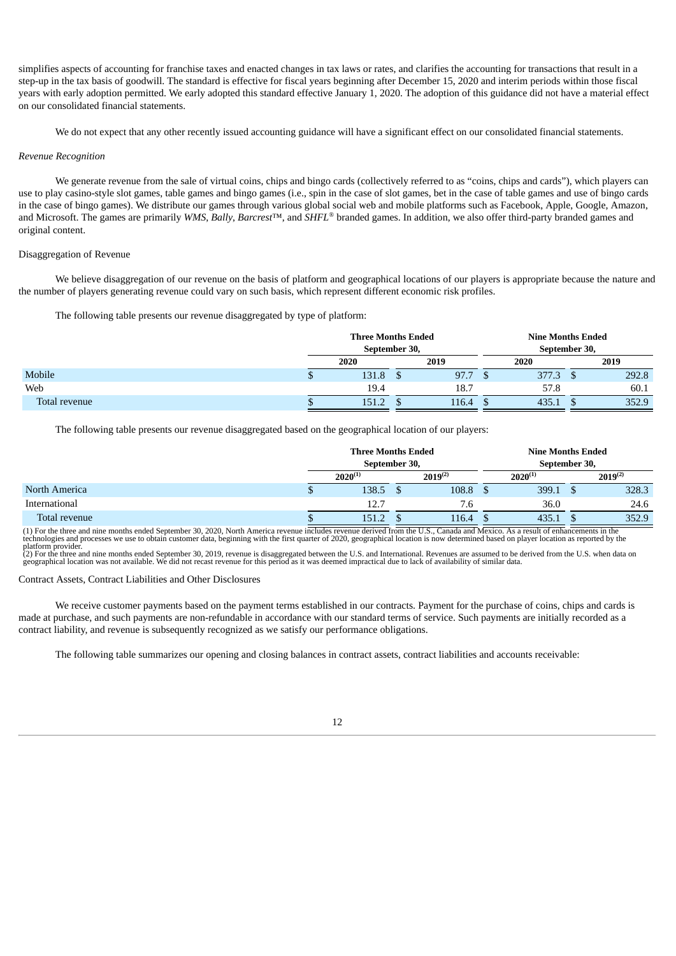simplifies aspects of accounting for franchise taxes and enacted changes in tax laws or rates, and clarifies the accounting for transactions that result in a step-up in the tax basis of goodwill. The standard is effective for fiscal years beginning after December 15, 2020 and interim periods within those fiscal years with early adoption permitted. We early adopted this standard effective January 1, 2020. The adoption of this guidance did not have a material effect on our consolidated financial statements.

We do not expect that any other recently issued accounting guidance will have a significant effect on our consolidated financial statements.

### *Revenue Recognition*

We generate revenue from the sale of virtual coins, chips and bingo cards (collectively referred to as "coins, chips and cards"), which players can use to play casino-style slot games, table games and bingo games (i.e., spin in the case of slot games, bet in the case of table games and use of bingo cards in the case of bingo games). We distribute our games through various global social web and mobile platforms such as Facebook, Apple, Google, Amazon, and Microsoft. The games are primarily *WMS*, *Bally*, *Barcrest*™, and *SHFL* branded games. In addition, we also offer third-party branded games and ® original content.

### Disaggregation of Revenue

We believe disaggregation of our revenue on the basis of platform and geographical locations of our players is appropriate because the nature and the number of players generating revenue could vary on such basis, which represent different economic risk profiles.

The following table presents our revenue disaggregated by type of platform:

|               | <b>Three Months Ended</b> |  |       | <b>Nine Months Ended</b> |               |  |       |  |  |
|---------------|---------------------------|--|-------|--------------------------|---------------|--|-------|--|--|
|               | September 30,             |  |       |                          | September 30, |  |       |  |  |
|               | 2020                      |  | 2019  |                          | 2020          |  | 2019  |  |  |
| Mobile        | 131.8                     |  | 97.7  |                          | 377.3         |  | 292.8 |  |  |
| Web           | 19.4                      |  | 18.7  |                          | 57.8          |  | 60.1  |  |  |
| Total revenue | 151.2                     |  | 116.4 |                          | 435.1         |  | 352.9 |  |  |

The following table presents our revenue disaggregated based on the geographical location of our players:

|               | <b>Three Months Ended</b><br>September 30, |              | <b>Nine Months Ended</b><br>September 30, |              |  |              |  |
|---------------|--------------------------------------------|--------------|-------------------------------------------|--------------|--|--------------|--|
|               | $2020^{(1)}$                               | $2019^{(2)}$ |                                           | $2020^{(1)}$ |  | $2019^{(2)}$ |  |
| North America | 138.5                                      | 108.8        |                                           | 399.1        |  | 328.3        |  |
| International | 12.7                                       | 7.6          |                                           | 36.0         |  | 24.6         |  |
| Total revenue | 151.2                                      | 116.4        |                                           | 435.1        |  | 352.9        |  |

(1) For the three and nine months ended September 30, 2020, North America revenue includes revenue derived from the U.S., Canada and Mexico. As a result of enhancements in the<br>technologies and processes we use to obtain cu

platform provider.<br>(2) For the three and nine months ended September 30, 2019, revenue is disaggregated between the U.S. and International. Revenues are assumed to be derived from the U.S. when data on<br>geographical locatio

Contract Assets, Contract Liabilities and Other Disclosures

We receive customer payments based on the payment terms established in our contracts. Payment for the purchase of coins, chips and cards is made at purchase, and such payments are non-refundable in accordance with our standard terms of service. Such payments are initially recorded as a contract liability, and revenue is subsequently recognized as we satisfy our performance obligations.

The following table summarizes our opening and closing balances in contract assets, contract liabilities and accounts receivable: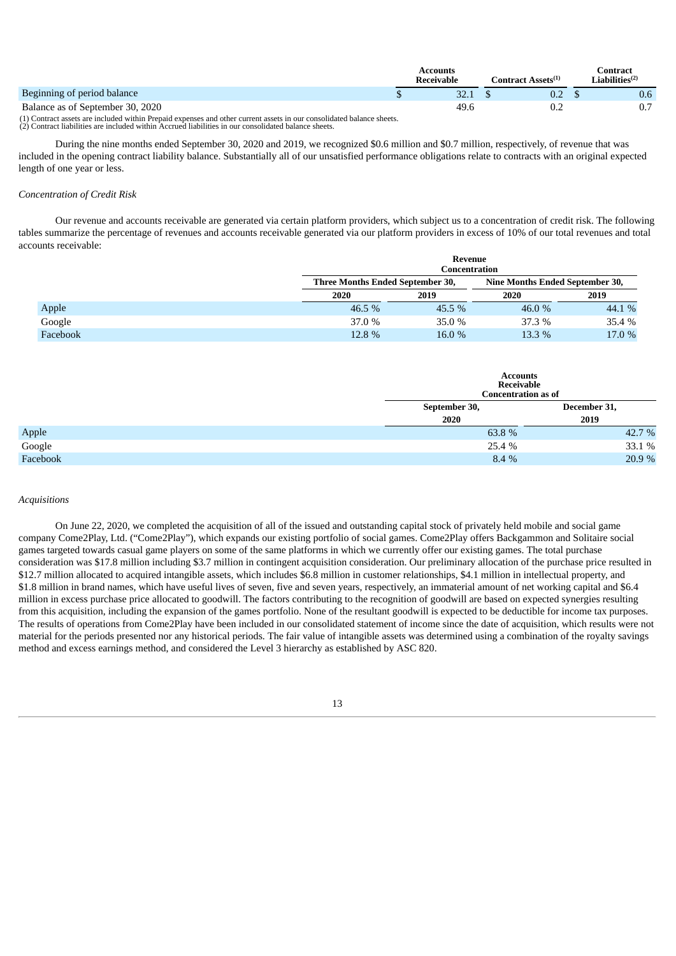|                                                                                                                      | <b>Accounts</b><br>Receivable | Contract Assets <sup>(1)</sup> | Contract<br>Liabilities $(2)$ |
|----------------------------------------------------------------------------------------------------------------------|-------------------------------|--------------------------------|-------------------------------|
| <b>Beginning of period balance</b>                                                                                   |                               |                                | 0.6                           |
| Balance as of September 30, 2020                                                                                     | 49.6                          |                                |                               |
| (1) Contract accete are included within Prenaid expenses and other current accets in our consolidated balance sheets |                               |                                |                               |

(1) Contract assets are included within Prepaid expenses and other current assets in our consolidated balance sheets. (2) Contract liabilities are included within Accrued liabilities in our consolidated balance sheets.

During the nine months ended September 30, 2020 and 2019, we recognized \$0.6 million and \$0.7 million, respectively, of revenue that was included in the opening contract liability balance. Substantially all of our unsatisfied performance obligations relate to contracts with an original expected length of one year or less.

# *Concentration of Credit Risk*

Our revenue and accounts receivable are generated via certain platform providers, which subject us to a concentration of credit risk. The following tables summarize the percentage of revenues and accounts receivable generated via our platform providers in excess of 10% of our total revenues and total accounts receivable:

|          |                                         | Revenue<br>Concentration |                                 |        |  |
|----------|-----------------------------------------|--------------------------|---------------------------------|--------|--|
|          | <b>Three Months Ended September 30,</b> |                          | Nine Months Ended September 30, |        |  |
|          | 2020                                    | 2019                     | 2020                            | 2019   |  |
| Apple    | 46.5 %                                  | 45.5 %                   | 46.0 %                          | 44.1 % |  |
| Google   | 37.0 %                                  | 35.0%                    | 37.3 %                          | 35.4 % |  |
| Facebook | 12.8 %                                  | 16.0 %                   | 13.3 %                          | 17.0 % |  |

|          | <b>Accounts</b><br>Receivable<br><b>Concentration as of</b> |                      |
|----------|-------------------------------------------------------------|----------------------|
|          | September 30,<br>2020                                       | December 31,<br>2019 |
| Apple    | 63.8 %                                                      | 42.7 %               |
| Google   | 25.4 %                                                      | 33.1 %               |
| Facebook | 8.4 %                                                       | 20.9 %               |

# *Acquisitions*

On June 22, 2020, we completed the acquisition of all of the issued and outstanding capital stock of privately held mobile and social game company Come2Play, Ltd. ("Come2Play"), which expands our existing portfolio of social games. Come2Play offers Backgammon and Solitaire social games targeted towards casual game players on some of the same platforms in which we currently offer our existing games. The total purchase consideration was \$17.8 million including \$3.7 million in contingent acquisition consideration. Our preliminary allocation of the purchase price resulted in \$12.7 million allocated to acquired intangible assets, which includes \$6.8 million in customer relationships, \$4.1 million in intellectual property, and \$1.8 million in brand names, which have useful lives of seven, five and seven years, respectively, an immaterial amount of net working capital and \$6.4 million in excess purchase price allocated to goodwill. The factors contributing to the recognition of goodwill are based on expected synergies resulting from this acquisition, including the expansion of the games portfolio. None of the resultant goodwill is expected to be deductible for income tax purposes. The results of operations from Come2Play have been included in our consolidated statement of income since the date of acquisition, which results were not material for the periods presented nor any historical periods. The fair value of intangible assets was determined using a combination of the royalty savings method and excess earnings method, and considered the Level 3 hierarchy as established by ASC 820.

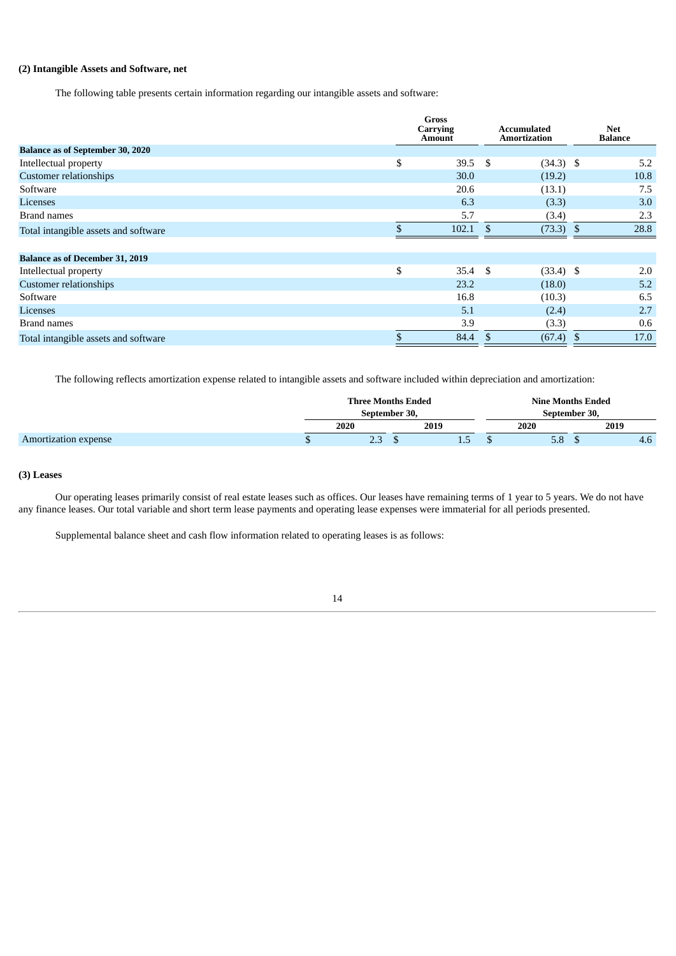# **(2) Intangible Assets and Software, net**

The following table presents certain information regarding our intangible assets and software:

|                                         | Gross<br>Carrying<br>Amount | Accumulated<br><b>Amortization</b> |             |      | Net<br><b>Balance</b> |
|-----------------------------------------|-----------------------------|------------------------------------|-------------|------|-----------------------|
| <b>Balance as of September 30, 2020</b> |                             |                                    |             |      |                       |
| Intellectual property                   | \$<br>39.5 \$               |                                    | $(34.3)$ \$ |      | 5.2                   |
| <b>Customer relationships</b>           | 30.0                        |                                    | (19.2)      |      | 10.8                  |
| Software                                | 20.6                        |                                    | (13.1)      |      | 7.5                   |
| Licenses                                | 6.3                         |                                    | (3.3)       |      | 3.0                   |
| Brand names                             | 5.7                         |                                    | (3.4)       |      | 2.3                   |
| Total intangible assets and software    | 102.1                       | £.                                 | (73.3)      | - \$ | 28.8                  |
|                                         |                             |                                    |             |      |                       |
| <b>Balance as of December 31, 2019</b>  |                             |                                    |             |      |                       |
| Intellectual property                   | \$<br>35.4 <sup>5</sup>     |                                    | $(33.4)$ \$ |      | 2.0                   |
| <b>Customer relationships</b>           | 23.2                        |                                    | (18.0)      |      | 5.2                   |
| Software                                | 16.8                        |                                    | (10.3)      |      | 6.5                   |
| Licenses                                | 5.1                         |                                    | (2.4)       |      | 2.7                   |
| Brand names                             | 3.9                         |                                    | (3.3)       |      | 0.6                   |
| Total intangible assets and software    | 84.4                        | \$.                                | (67.4)      | - \$ | 17.0                  |

The following reflects amortization expense related to intangible assets and software included within depreciation and amortization:

| <b>Three Months Ended</b><br>September 30, |      |  |      | <b>Nine Months Ended</b> |  |      |       |      |     |
|--------------------------------------------|------|--|------|--------------------------|--|------|-------|------|-----|
|                                            |      |  |      | September 30,            |  |      |       |      |     |
|                                            | 2020 |  | 2019 |                          |  | 2020 |       | 2019 |     |
|                                            | ں ک  |  |      | L.5                      |  |      | - 120 |      | 4.6 |
|                                            |      |  |      |                          |  |      | 5.8   |      |     |

### **(3) Leases**

Our operating leases primarily consist of real estate leases such as offices. Our leases have remaining terms of 1 year to 5 years. We do not have any finance leases. Our total variable and short term lease payments and operating lease expenses were immaterial for all periods presented.

Supplemental balance sheet and cash flow information related to operating leases is as follows: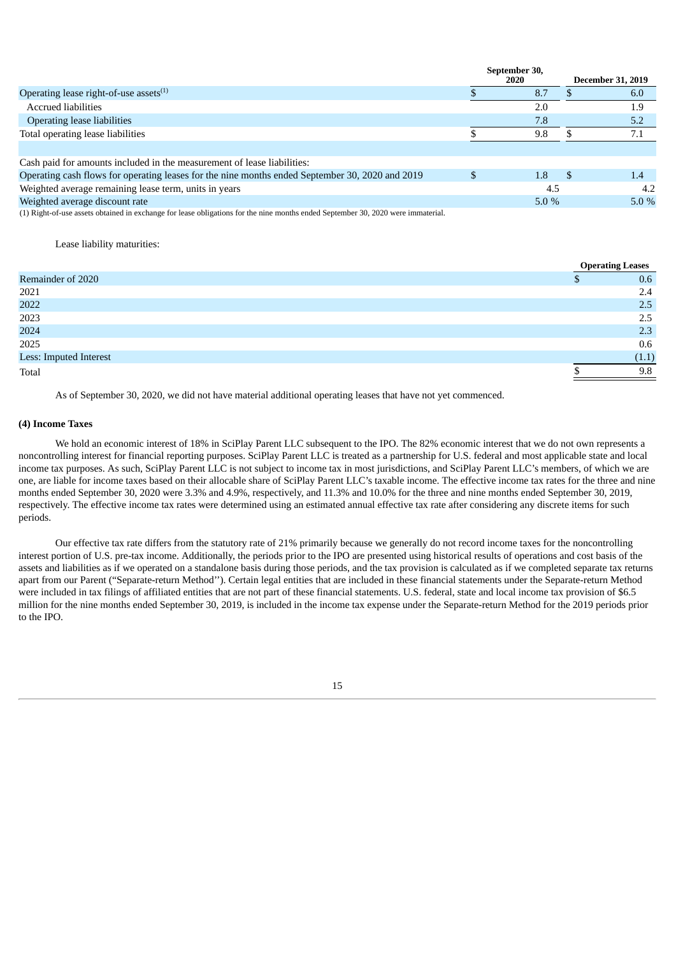|                                                                                                                                 | September 30,<br>2020 |      | <b>December 31, 2019</b> |
|---------------------------------------------------------------------------------------------------------------------------------|-----------------------|------|--------------------------|
| Operating lease right-of-use assets $(1)$                                                                                       | 8.7                   |      | 6.0                      |
| Accrued liabilities                                                                                                             | 2.0                   |      | 1.9                      |
| <b>Operating lease liabilities</b>                                                                                              | 7.8                   |      | 5.2                      |
| Total operating lease liabilities                                                                                               | 9.8                   |      | 7.1                      |
|                                                                                                                                 |                       |      |                          |
| Cash paid for amounts included in the measurement of lease liabilities:                                                         |                       |      |                          |
| Operating cash flows for operating leases for the nine months ended September 30, 2020 and 2019                                 | 1.8 <sup>°</sup>      | - \$ | 1.4                      |
| Weighted average remaining lease term, units in years                                                                           | 4.5                   |      | 4.2                      |
| Weighted average discount rate                                                                                                  | $5.0\%$               |      | 5.0%                     |
| (1) Dight of use assets obtained in ovehange for lease obligations for the nine months anded Contember 20, 2020 same immeterial |                       |      |                          |

(1) Right-of-use assets obtained in exchange for lease obligations for the nine months ended September 30, 2020 were immaterial.

Lease liability maturities:

|                        | <b>Operating Leases</b> |       |
|------------------------|-------------------------|-------|
| Remainder of 2020      |                         | 0.6   |
| 2021                   |                         | 2.4   |
| 2022                   |                         | 2.5   |
| 2023                   |                         | 2.5   |
| 2024                   |                         | 2.3   |
| 2025                   |                         | 0.6   |
| Less: Imputed Interest |                         | (1.1) |
| Total                  |                         | 9.8   |
|                        |                         |       |

As of September 30, 2020, we did not have material additional operating leases that have not yet commenced.

## **(4) Income Taxes**

We hold an economic interest of 18% in SciPlay Parent LLC subsequent to the IPO. The 82% economic interest that we do not own represents a noncontrolling interest for financial reporting purposes. SciPlay Parent LLC is treated as a partnership for U.S. federal and most applicable state and local income tax purposes. As such, SciPlay Parent LLC is not subject to income tax in most jurisdictions, and SciPlay Parent LLC's members, of which we are one, are liable for income taxes based on their allocable share of SciPlay Parent LLC's taxable income. The effective income tax rates for the three and nine months ended September 30, 2020 were 3.3% and 4.9%, respectively, and 11.3% and 10.0% for the three and nine months ended September 30, 2019, respectively. The effective income tax rates were determined using an estimated annual effective tax rate after considering any discrete items for such periods.

Our effective tax rate differs from the statutory rate of 21% primarily because we generally do not record income taxes for the noncontrolling interest portion of U.S. pre-tax income. Additionally, the periods prior to the IPO are presented using historical results of operations and cost basis of the assets and liabilities as if we operated on a standalone basis during those periods, and the tax provision is calculated as if we completed separate tax returns apart from our Parent ("Separate-return Method''). Certain legal entities that are included in these financial statements under the Separate-return Method were included in tax filings of affiliated entities that are not part of these financial statements. U.S. federal, state and local income tax provision of \$6.5 million for the nine months ended September 30, 2019, is included in the income tax expense under the Separate-return Method for the 2019 periods prior to the IPO.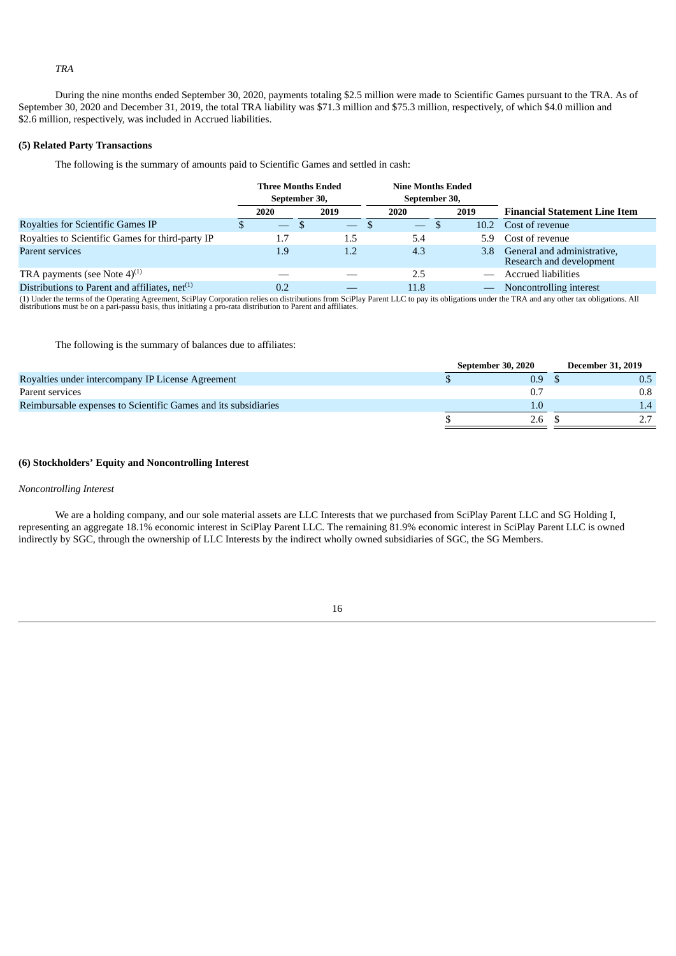# *TRA*

During the nine months ended September 30, 2020, payments totaling \$2.5 million were made to Scientific Games pursuant to the TRA. As of September 30, 2020 and December 31, 2019, the total TRA liability was \$71.3 million and \$75.3 million, respectively, of which \$4.0 million and \$2.6 million, respectively, was included in Accrued liabilities.

### **(5) Related Party Transactions**

The following is the summary of amounts paid to Scientific Games and settled in cash:

|                                                  | <b>Nine Months Ended</b><br><b>Three Months Ended</b> |                          |  |               |                          |      |                                                         |
|--------------------------------------------------|-------------------------------------------------------|--------------------------|--|---------------|--------------------------|------|---------------------------------------------------------|
|                                                  | September 30,                                         |                          |  | September 30, |                          |      |                                                         |
|                                                  |                                                       | 2020                     |  | 2019          | 2020                     | 2019 | <b>Financial Statement Line Item</b>                    |
| Royalties for Scientific Games IP                |                                                       | $\overline{\phantom{0}}$ |  |               | $\overline{\phantom{0}}$ | 10.2 | Cost of revenue                                         |
| Royalties to Scientific Games for third-party IP |                                                       |                          |  | 1.5           | 5.4                      | 5.9  | Cost of revenue                                         |
| Parent services                                  |                                                       | 1.9                      |  | 1.2           | 4.3                      | 3.8  | General and administrative,<br>Research and development |
| TRA payments (see Note $4)^{(1)}$ )              |                                                       |                          |  |               | 2.5                      |      | Accrued liabilities                                     |
| Distributions to Parent and affiliates, $net(1)$ |                                                       | 0.2                      |  |               | 11.8                     |      | Noncontrolling interest                                 |

(1) Under the terms of the Operating Agreement, SciPlay Corporation relies on distributions from SciPlay Parent LLC to pay its obligations under the TRA and any other tax obligations. All<br>distributions must be on a pari-pa

The following is the summary of balances due to affiliates:

|                                                                | September 30, 2020 | <b>December 31, 2019</b> |  |
|----------------------------------------------------------------|--------------------|--------------------------|--|
| Royalties under intercompany IP License Agreement              |                    | 0.5                      |  |
| Parent services                                                |                    | 0.8                      |  |
| Reimbursable expenses to Scientific Games and its subsidiaries |                    |                          |  |
|                                                                | 2.6                |                          |  |
|                                                                |                    |                          |  |

# **(6) Stockholders' Equity and Noncontrolling Interest**

#### *Noncontrolling Interest*

We are a holding company, and our sole material assets are LLC Interests that we purchased from SciPlay Parent LLC and SG Holding I, representing an aggregate 18.1% economic interest in SciPlay Parent LLC. The remaining 81.9% economic interest in SciPlay Parent LLC is owned indirectly by SGC, through the ownership of LLC Interests by the indirect wholly owned subsidiaries of SGC, the SG Members.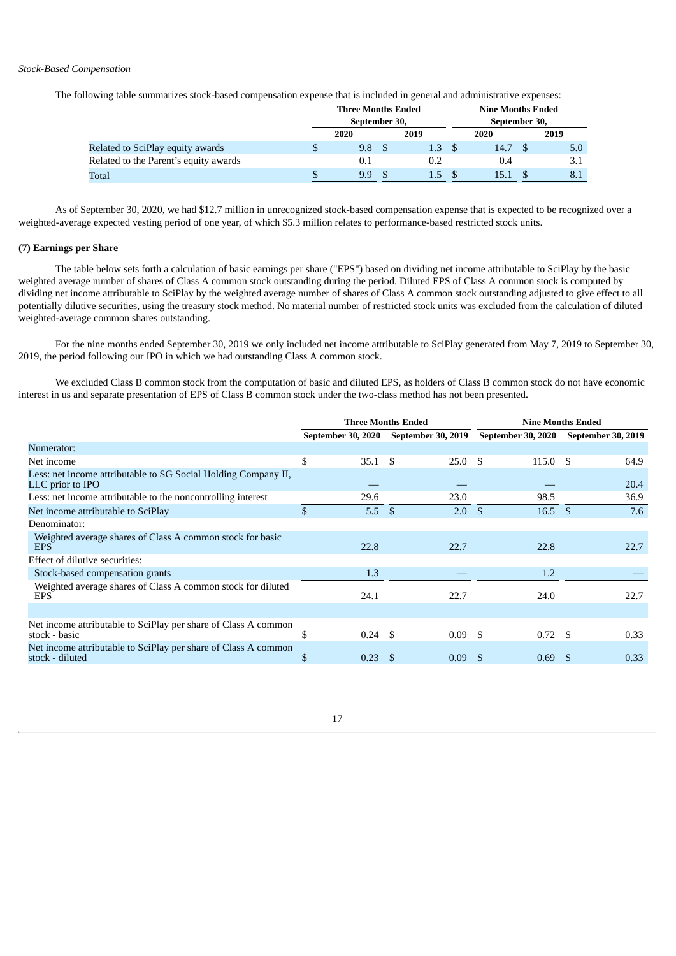### *Stock-Based Compensation*

The following table summarizes stock-based compensation expense that is included in general and administrative expenses:

|                                       | <b>Three Months Ended</b><br>September 30, |      | <b>Nine Months Ended</b><br>September 30, |      |     |  |
|---------------------------------------|--------------------------------------------|------|-------------------------------------------|------|-----|--|
|                                       | 2020                                       | 2019 | 2020                                      | 2019 |     |  |
| Related to SciPlay equity awards      | 9.8                                        | 1.3  | 14.7                                      |      | 5.0 |  |
| Related to the Parent's equity awards | 0.1                                        | 0.2  | 0.4                                       |      | 3.1 |  |
| Total                                 | 9.9                                        |      | 15.1                                      |      | 8.1 |  |

As of September 30, 2020, we had \$12.7 million in unrecognized stock-based compensation expense that is expected to be recognized over a weighted-average expected vesting period of one year, of which \$5.3 million relates to performance-based restricted stock units.

### **(7) Earnings per Share**

The table below sets forth a calculation of basic earnings per share ("EPS") based on dividing net income attributable to SciPlay by the basic weighted average number of shares of Class A common stock outstanding during the period. Diluted EPS of Class A common stock is computed by dividing net income attributable to SciPlay by the weighted average number of shares of Class A common stock outstanding adjusted to give effect to all potentially dilutive securities, using the treasury stock method. No material number of restricted stock units was excluded from the calculation of diluted weighted-average common shares outstanding.

For the nine months ended September 30, 2019 we only included net income attributable to SciPlay generated from May 7, 2019 to September 30, 2019, the period following our IPO in which we had outstanding Class A common stock.

We excluded Class B common stock from the computation of basic and diluted EPS, as holders of Class B common stock do not have economic interest in us and separate presentation of EPS of Class B common stock under the two-class method has not been presented.

|                                                                                    |                           | <b>Three Months Ended</b> | <b>Nine Months Ended</b> |                    |  |  |  |  |
|------------------------------------------------------------------------------------|---------------------------|---------------------------|--------------------------|--------------------|--|--|--|--|
|                                                                                    | <b>September 30, 2020</b> | <b>September 30, 2019</b> | September 30, 2020       | September 30, 2019 |  |  |  |  |
| Numerator:                                                                         |                           |                           |                          |                    |  |  |  |  |
| Net income                                                                         | \$<br>$35.1 \quad $$      | 25.0 <sup>5</sup>         | $115.0$ \$               | 64.9               |  |  |  |  |
| Less: net income attributable to SG Social Holding Company II,<br>LLC prior to IPO |                           |                           |                          | 20.4               |  |  |  |  |
| Less: net income attributable to the noncontrolling interest                       | 29.6                      | 23.0                      | 98.5                     | 36.9               |  |  |  |  |
| Net income attributable to SciPlay                                                 | \$<br>5.5 \$              | 2.0                       | S<br>$16.5\quad$ \$      | 7.6                |  |  |  |  |
| Denominator:                                                                       |                           |                           |                          |                    |  |  |  |  |
| Weighted average shares of Class A common stock for basic<br><b>EPS</b>            | 22.8                      | 22.7                      | 22.8                     | 22.7               |  |  |  |  |
| Effect of dilutive securities:                                                     |                           |                           |                          |                    |  |  |  |  |
| Stock-based compensation grants                                                    | 1.3                       |                           | 1.2                      |                    |  |  |  |  |
| Weighted average shares of Class A common stock for diluted<br><b>EPS</b>          | 24.1                      | 22.7                      | 24.0                     | 22.7               |  |  |  |  |
|                                                                                    |                           |                           |                          |                    |  |  |  |  |
| Net income attributable to SciPlay per share of Class A common<br>stock - basic    | $0.24 \quad $$<br>S       | 0.09 <sup>5</sup>         | $0.72 \quad $$           | 0.33               |  |  |  |  |
| Net income attributable to SciPlay per share of Class A common<br>stock - diluted  | \$<br>$0.23 \quad$ \$     | 0.09                      | 0.69<br>$\mathsf{S}$     | 0.33<br>-S         |  |  |  |  |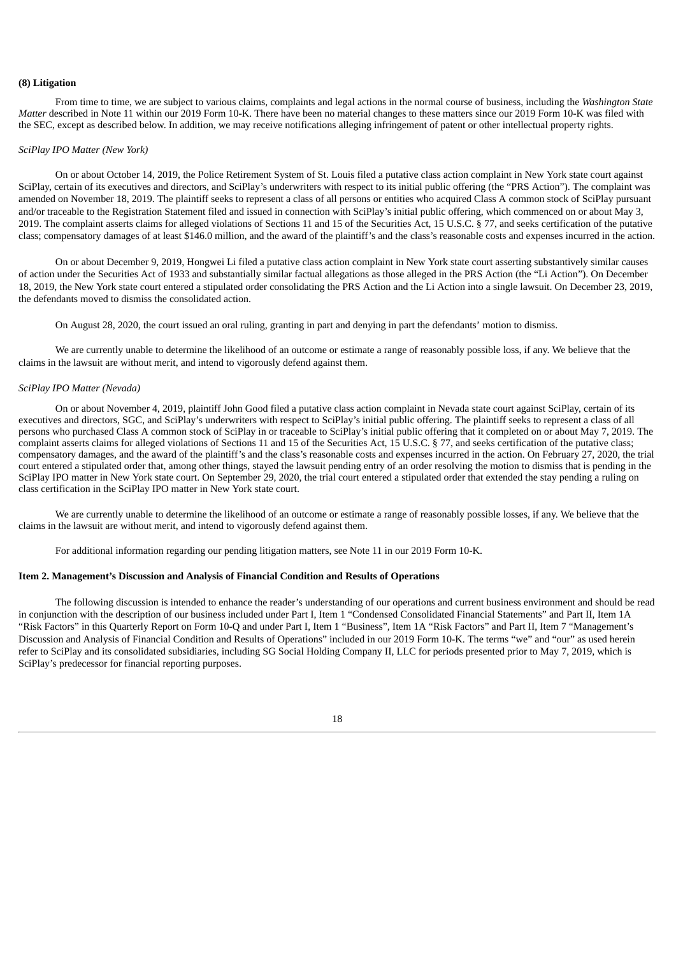## **(8) Litigation**

From time to time, we are subject to various claims, complaints and legal actions in the normal course of business, including the *Washington State Matter* described in Note 11 within our 2019 Form 10-K. There have been no material changes to these matters since our 2019 Form 10-K was filed with the SEC, except as described below. In addition, we may receive notifications alleging infringement of patent or other intellectual property rights.

#### *SciPlay IPO Matter (New York)*

On or about October 14, 2019, the Police Retirement System of St. Louis filed a putative class action complaint in New York state court against SciPlay, certain of its executives and directors, and SciPlay's underwriters with respect to its initial public offering (the "PRS Action"). The complaint was amended on November 18, 2019. The plaintiff seeks to represent a class of all persons or entities who acquired Class A common stock of SciPlay pursuant and/or traceable to the Registration Statement filed and issued in connection with SciPlay's initial public offering, which commenced on or about May 3, 2019. The complaint asserts claims for alleged violations of Sections 11 and 15 of the Securities Act, 15 U.S.C. § 77, and seeks certification of the putative class; compensatory damages of at least \$146.0 million, and the award of the plaintiff's and the class's reasonable costs and expenses incurred in the action.

On or about December 9, 2019, Hongwei Li filed a putative class action complaint in New York state court asserting substantively similar causes of action under the Securities Act of 1933 and substantially similar factual allegations as those alleged in the PRS Action (the "Li Action"). On December 18, 2019, the New York state court entered a stipulated order consolidating the PRS Action and the Li Action into a single lawsuit. On December 23, 2019, the defendants moved to dismiss the consolidated action.

On August 28, 2020, the court issued an oral ruling, granting in part and denying in part the defendants' motion to dismiss.

We are currently unable to determine the likelihood of an outcome or estimate a range of reasonably possible loss, if any. We believe that the claims in the lawsuit are without merit, and intend to vigorously defend against them.

#### *SciPlay IPO Matter (Nevada)*

On or about November 4, 2019, plaintiff John Good filed a putative class action complaint in Nevada state court against SciPlay, certain of its executives and directors, SGC, and SciPlay's underwriters with respect to SciPlay's initial public offering. The plaintiff seeks to represent a class of all persons who purchased Class A common stock of SciPlay in or traceable to SciPlay's initial public offering that it completed on or about May 7, 2019. The complaint asserts claims for alleged violations of Sections 11 and 15 of the Securities Act, 15 U.S.C. § 77, and seeks certification of the putative class; compensatory damages, and the award of the plaintiff's and the class's reasonable costs and expenses incurred in the action. On February 27, 2020, the trial court entered a stipulated order that, among other things, stayed the lawsuit pending entry of an order resolving the motion to dismiss that is pending in the SciPlay IPO matter in New York state court. On September 29, 2020, the trial court entered a stipulated order that extended the stay pending a ruling on class certification in the SciPlay IPO matter in New York state court.

We are currently unable to determine the likelihood of an outcome or estimate a range of reasonably possible losses, if any. We believe that the claims in the lawsuit are without merit, and intend to vigorously defend against them.

For additional information regarding our pending litigation matters, see Note 11 in our 2019 Form 10-K.

#### <span id="page-17-0"></span>**Item 2. Management's Discussion and Analysis of Financial Condition and Results of Operations**

The following discussion is intended to enhance the reader's understanding of our operations and current business environment and should be read in conjunction with the description of our business included under Part I, Item 1 "Condensed Consolidated Financial Statements" and Part II, Item 1A "Risk Factors" in this Quarterly Report on Form 10-Q and under Part I, Item 1 "Business", Item 1A "Risk Factors" and Part II, Item 7 "Management's Discussion and Analysis of Financial Condition and Results of Operations" included in our 2019 Form 10-K. The terms "we" and "our" as used herein refer to SciPlay and its consolidated subsidiaries, including SG Social Holding Company II, LLC for periods presented prior to May 7, 2019, which is SciPlay's predecessor for financial reporting purposes.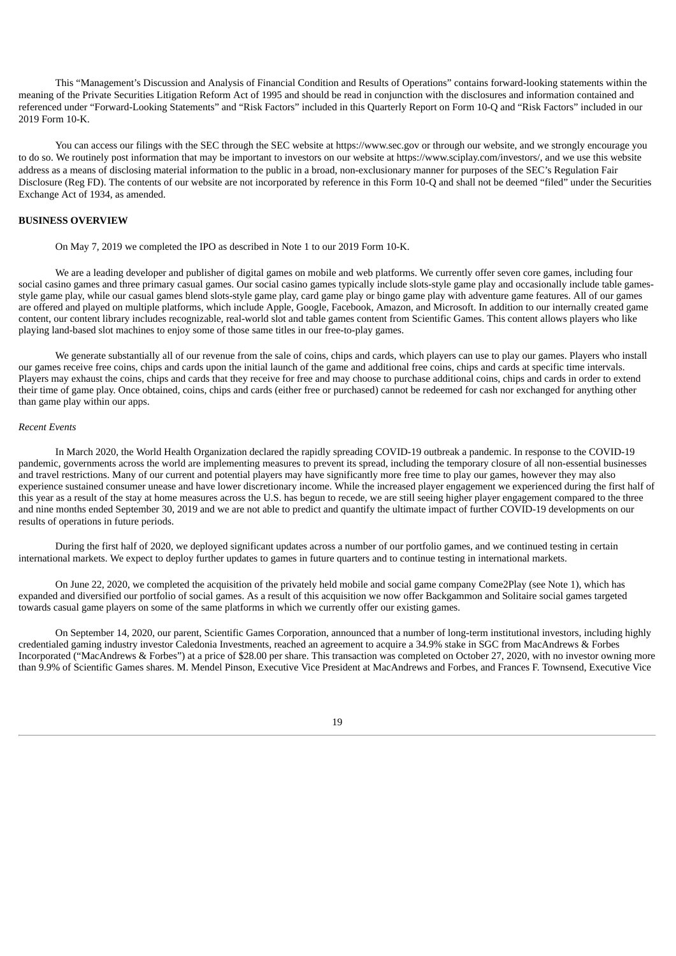This "Management's Discussion and Analysis of Financial Condition and Results of Operations" contains forward-looking statements within the meaning of the Private Securities Litigation Reform Act of 1995 and should be read in conjunction with the disclosures and information contained and referenced under "Forward-Looking Statements" and "Risk Factors" included in this Quarterly Report on Form 10-Q and "Risk Factors" included in our 2019 Form 10-K.

You can access our filings with the SEC through the SEC website at https://www.sec.gov or through our website, and we strongly encourage you to do so. We routinely post information that may be important to investors on our website at https://www.sciplay.com/investors/, and we use this website address as a means of disclosing material information to the public in a broad, non-exclusionary manner for purposes of the SEC's Regulation Fair Disclosure (Reg FD). The contents of our website are not incorporated by reference in this Form 10-Q and shall not be deemed "filed" under the Securities Exchange Act of 1934, as amended.

# **BUSINESS OVERVIEW**

On May 7, 2019 we completed the IPO as described in Note 1 to our 2019 Form 10-K.

We are a leading developer and publisher of digital games on mobile and web platforms. We currently offer seven core games, including four social casino games and three primary casual games. Our social casino games typically include slots-style game play and occasionally include table gamesstyle game play, while our casual games blend slots-style game play, card game play or bingo game play with adventure game features. All of our games are offered and played on multiple platforms, which include Apple, Google, Facebook, Amazon, and Microsoft. In addition to our internally created game content, our content library includes recognizable, real-world slot and table games content from Scientific Games. This content allows players who like playing land-based slot machines to enjoy some of those same titles in our free-to-play games.

We generate substantially all of our revenue from the sale of coins, chips and cards, which players can use to play our games. Players who install our games receive free coins, chips and cards upon the initial launch of the game and additional free coins, chips and cards at specific time intervals. Players may exhaust the coins, chips and cards that they receive for free and may choose to purchase additional coins, chips and cards in order to extend their time of game play. Once obtained, coins, chips and cards (either free or purchased) cannot be redeemed for cash nor exchanged for anything other than game play within our apps.

#### *Recent Events*

In March 2020, the World Health Organization declared the rapidly spreading COVID-19 outbreak a pandemic. In response to the COVID-19 pandemic, governments across the world are implementing measures to prevent its spread, including the temporary closure of all non-essential businesses and travel restrictions. Many of our current and potential players may have significantly more free time to play our games, however they may also experience sustained consumer unease and have lower discretionary income. While the increased player engagement we experienced during the first half of this year as a result of the stay at home measures across the U.S. has begun to recede, we are still seeing higher player engagement compared to the three and nine months ended September 30, 2019 and we are not able to predict and quantify the ultimate impact of further COVID-19 developments on our results of operations in future periods.

During the first half of 2020, we deployed significant updates across a number of our portfolio games, and we continued testing in certain international markets. We expect to deploy further updates to games in future quarters and to continue testing in international markets.

On June 22, 2020, we completed the acquisition of the privately held mobile and social game company Come2Play (see Note 1), which has expanded and diversified our portfolio of social games. As a result of this acquisition we now offer Backgammon and Solitaire social games targeted towards casual game players on some of the same platforms in which we currently offer our existing games.

On September 14, 2020, our parent, Scientific Games Corporation, announced that a number of long-term institutional investors, including highly credentialed gaming industry investor Caledonia Investments, reached an agreement to acquire a 34.9% stake in SGC from MacAndrews & Forbes Incorporated ("MacAndrews & Forbes") at a price of \$28.00 per share. This transaction was completed on October 27, 2020, with no investor owning more than 9.9% of Scientific Games shares. M. Mendel Pinson, Executive Vice President at MacAndrews and Forbes, and Frances F. Townsend, Executive Vice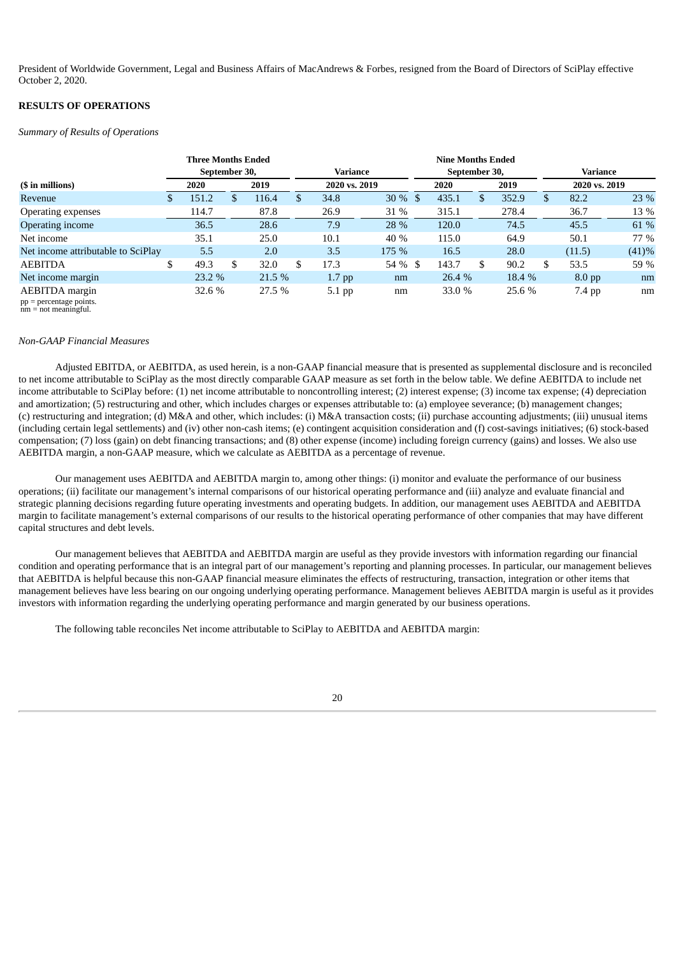President of Worldwide Government, Legal and Business Affairs of MacAndrews & Forbes, resigned from the Board of Directors of SciPlay effective October 2, 2020.

# **RESULTS OF OPERATIONS**

*Summary of Results of Operations*

|                                            | <b>Three Months Ended</b> |               |   |        |     | <b>Nine Months Ended</b> |               |        |     |        |          |               |       |  |
|--------------------------------------------|---------------------------|---------------|---|--------|-----|--------------------------|---------------|--------|-----|--------|----------|---------------|-------|--|
|                                            |                           | September 30, |   |        |     | Variance                 | September 30, |        |     |        | Variance |               |       |  |
| (\$ in millions)                           |                           | 2020          |   | 2019   |     | 2020 vs. 2019            |               | 2020   |     | 2019   |          | 2020 vs. 2019 |       |  |
| Revenue                                    | \$.                       | 151.2         |   | 116.4  | \$  | 34.8                     | $30\%$ \$     | 435.1  | \$. | 352.9  | \$       | 82.2          | 23 %  |  |
| Operating expenses                         |                           | 114.7         |   | 87.8   |     | 26.9                     | 31 %          | 315.1  |     | 278.4  |          | 36.7          | 13 %  |  |
| <b>Operating income</b>                    |                           | 36.5          |   | 28.6   |     | 7.9                      | 28 %          | 120.0  |     | 74.5   |          | 45.5          | 61 %  |  |
| Net income                                 |                           | 35.1          |   | 25.0   |     | 10.1                     | 40 %          | 115.0  |     | 64.9   |          | 50.1          | 77 %  |  |
| Net income attributable to SciPlay         |                           | 5.5           |   | 2.0    |     | 3.5                      | 175 %         | 16.5   |     | 28.0   |          | (11.5)        | (41)% |  |
| <b>AEBITDA</b>                             | \$                        | 49.3          | S | 32.0   | \$. | 17.3                     | $54\%$ \$     | 143.7  | \$. | 90.2   | \$.      | 53.5          | 59 %  |  |
| Net income margin                          |                           | 23.2 %        |   | 21.5 % |     | $1.7$ pp                 | nm            | 26.4 % |     | 18.4 % |          | $8.0$ pp      | nm    |  |
| AEBITDA margin<br>$nn =$ nercentade noints |                           | 32.6 %        |   | 27.5 % |     | 5.1 pp                   | nm            | 33.0 % |     | 25.6 % |          | 7.4 pp        | nm    |  |

pp = percentage points. nm = not meaningful.

### *Non-GAAP Financial Measures*

Adjusted EBITDA, or AEBITDA, as used herein, is a non-GAAP financial measure that is presented as supplemental disclosure and is reconciled to net income attributable to SciPlay as the most directly comparable GAAP measure as set forth in the below table. We define AEBITDA to include net income attributable to SciPlay before: (1) net income attributable to noncontrolling interest; (2) interest expense; (3) income tax expense; (4) depreciation and amortization; (5) restructuring and other, which includes charges or expenses attributable to: (a) employee severance; (b) management changes; (c) restructuring and integration; (d) M&A and other, which includes: (i) M&A transaction costs; (ii) purchase accounting adjustments; (iii) unusual items (including certain legal settlements) and (iv) other non-cash items; (e) contingent acquisition consideration and (f) cost-savings initiatives; (6) stock-based compensation; (7) loss (gain) on debt financing transactions; and (8) other expense (income) including foreign currency (gains) and losses. We also use AEBITDA margin, a non-GAAP measure, which we calculate as AEBITDA as a percentage of revenue.

Our management uses AEBITDA and AEBITDA margin to, among other things: (i) monitor and evaluate the performance of our business operations; (ii) facilitate our management's internal comparisons of our historical operating performance and (iii) analyze and evaluate financial and strategic planning decisions regarding future operating investments and operating budgets. In addition, our management uses AEBITDA and AEBITDA margin to facilitate management's external comparisons of our results to the historical operating performance of other companies that may have different capital structures and debt levels.

Our management believes that AEBITDA and AEBITDA margin are useful as they provide investors with information regarding our financial condition and operating performance that is an integral part of our management's reporting and planning processes. In particular, our management believes that AEBITDA is helpful because this non-GAAP financial measure eliminates the effects of restructuring, transaction, integration or other items that management believes have less bearing on our ongoing underlying operating performance. Management believes AEBITDA margin is useful as it provides investors with information regarding the underlying operating performance and margin generated by our business operations.

The following table reconciles Net income attributable to SciPlay to AEBITDA and AEBITDA margin: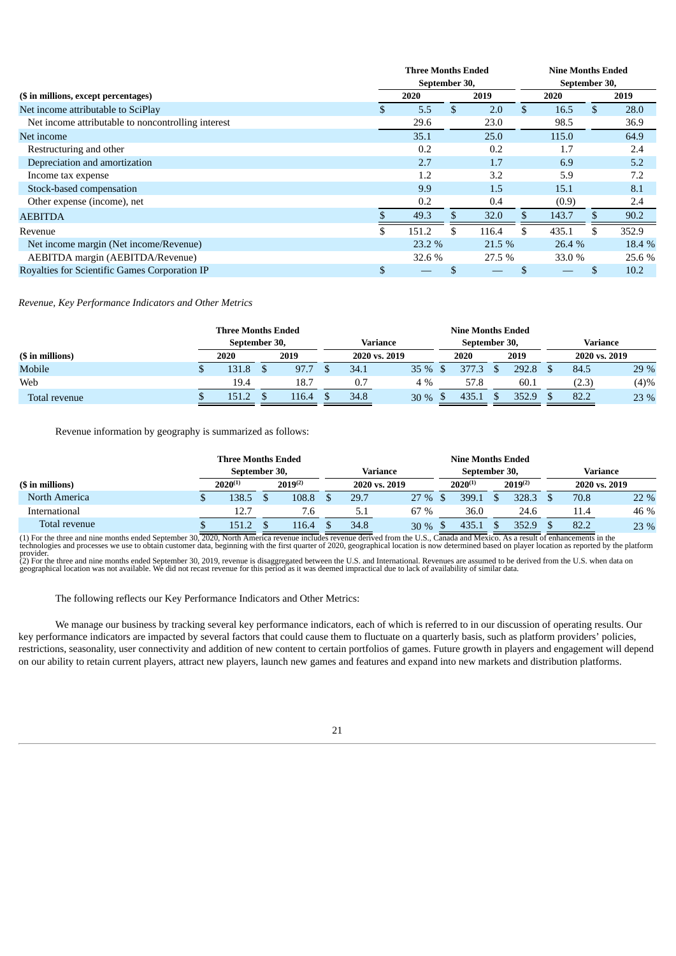|                                                    | <b>Three Months Ended</b><br>September 30, | <b>Nine Months Ended</b><br>September 30, |        |      |        |     |        |  |
|----------------------------------------------------|--------------------------------------------|-------------------------------------------|--------|------|--------|-----|--------|--|
| (\$ in millions, except percentages)               | 2020                                       | 2019                                      |        | 2020 |        |     | 2019   |  |
| Net income attributable to SciPlay                 | \$<br>5.5                                  |                                           | 2.0    | \$.  | 16.5   | \$. | 28.0   |  |
| Net income attributable to noncontrolling interest | 29.6                                       |                                           | 23.0   |      | 98.5   |     | 36.9   |  |
| Net income                                         | 35.1                                       |                                           | 25.0   |      | 115.0  |     | 64.9   |  |
| Restructuring and other                            | 0.2                                        |                                           | 0.2    |      | 1.7    |     | 2.4    |  |
| Depreciation and amortization                      | 2.7                                        |                                           | 1.7    |      | 6.9    |     | 5.2    |  |
| Income tax expense                                 | 1.2                                        |                                           | 3.2    |      | 5.9    |     | 7.2    |  |
| Stock-based compensation                           | 9.9                                        |                                           | 1.5    |      | 15.1   |     | 8.1    |  |
| Other expense (income), net                        | 0.2                                        |                                           | 0.4    |      | (0.9)  |     | 2.4    |  |
| <b>AEBITDA</b>                                     | 49.3                                       |                                           | 32.0   |      | 143.7  |     | 90.2   |  |
| Revenue                                            | \$<br>151.2                                |                                           | 116.4  |      | 435.1  |     | 352.9  |  |
| Net income margin (Net income/Revenue)             | 23.2 %                                     |                                           | 21.5 % |      | 26.4 % |     | 18.4 % |  |
| AEBITDA margin (AEBITDA/Revenue)                   | 32.6 %                                     |                                           | 27.5 % |      | 33.0 % |     | 25.6 % |  |
| Royalties for Scientific Games Corporation IP      | \$                                         |                                           |        |      |        |     | 10.2   |  |

#### *Revenue, Key Performance Indicators and Other Metrics*

|                  | <b>Three Months Ended</b> |       | <b>Nine Months Ended</b> |               |           |  |               |  |       |  |               |      |  |
|------------------|---------------------------|-------|--------------------------|---------------|-----------|--|---------------|--|-------|--|---------------|------|--|
|                  | September 30,             |       | Variance                 |               |           |  | September 30, |  |       |  | Variance      |      |  |
| (\$ in millions) | 2020                      | 2019  |                          | 2020 vs. 2019 |           |  | 2020          |  | 2019  |  | 2020 vs. 2019 |      |  |
| Mobile           | 131.8                     | 97.7  |                          | 34.1          | $35\%$ \$ |  | 377.3         |  | 292.8 |  | 84.5          | 29 % |  |
| Web              | 19.4                      | 18.7  |                          | 0.7           | 4 %       |  | 57.8          |  | 60.1  |  | (2.3)         | (4)% |  |
| Total revenue    | 151.2                     | 116.4 |                          | 34.8          | 30%       |  | 435.          |  | 352.9 |  | 82.2          | 23 % |  |

Revenue information by geography is summarized as follows:

|                  | <b>Three Months Ended</b> |  |              | <b>Nine Months Ended</b> |               |  |              |  |              |  |      |               |  |  |
|------------------|---------------------------|--|--------------|--------------------------|---------------|--|--------------|--|--------------|--|------|---------------|--|--|
|                  | September 30,             |  |              | Variance                 | September 30, |  |              |  | Variance     |  |      |               |  |  |
| (\$ in millions) | $2020^{(1)}$              |  | $2019^{(2)}$ | 2020 vs. 2019            |               |  | $2020^{(1)}$ |  | $2019^{(2)}$ |  |      | 2020 vs. 2019 |  |  |
| North America    | L38.5                     |  | 108.8        | 29.7                     | $27\%$        |  | 399.1        |  | 328.3        |  | 70.8 | 22 %          |  |  |
| International    | 12.7                      |  | 7.6          | 5.1                      | 67 %          |  | 36.0         |  | 24.6         |  | 11.4 | 46 %          |  |  |
| Total revenue    | 151.2                     |  | 116.4        | 34.8                     | 30%           |  | 435.1        |  | 352.9        |  | 82.2 | 23 %          |  |  |

(1) For the three and nine months ended September 30, 2020, North America revenue includes revenue derived from the U.S., Canada and Mexico. As a result of enhancements in the<br>technologies and processes we use to obtain cu provider<br>(2) For the three and nine months ended September 30, 2019, revenue is disaggregated between the U.S. and International. Revenues are assumed to be derived from the U.S. when data on<br>geographical location was not

The following reflects our Key Performance Indicators and Other Metrics:

We manage our business by tracking several key performance indicators, each of which is referred to in our discussion of operating results. Our key performance indicators are impacted by several factors that could cause them to fluctuate on a quarterly basis, such as platform providers' policies, restrictions, seasonality, user connectivity and addition of new content to certain portfolios of games. Future growth in players and engagement will depend on our ability to retain current players, attract new players, launch new games and features and expand into new markets and distribution platforms.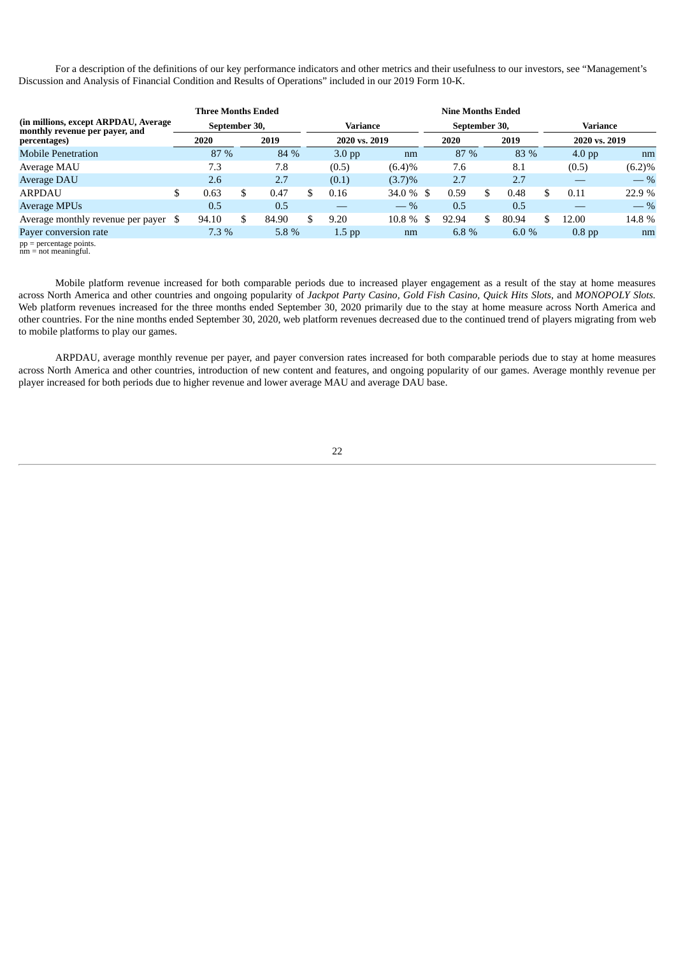For a description of the definitions of our key performance indicators and other metrics and their usefulness to our investors, see "Management's Discussion and Analysis of Financial Condition and Results of Operations" included in our 2019 Form 10-K.

|                                                                                        | <b>Nine Months Ended</b> |               |              |         |    |                   |             |  |               |     |         |               |          |        |  |
|----------------------------------------------------------------------------------------|--------------------------|---------------|--------------|---------|----|-------------------|-------------|--|---------------|-----|---------|---------------|----------|--------|--|
| (in millions, except ARPDAU, Average<br>monthly revenue per payer, and<br>percentages) |                          | September 30, |              |         |    | Variance          |             |  | September 30, |     |         |               | Variance |        |  |
|                                                                                        |                          | 2020          |              | 2019    |    | 2020 vs. 2019     |             |  | 2020<br>2019  |     |         | 2020 vs. 2019 |          |        |  |
| <b>Mobile Penetration</b>                                                              |                          |               | 87 %<br>84 % |         |    | 3.0 <sub>pp</sub> | nm          |  | 87 %          |     | 83 %    |               | $4.0$ pp | nm     |  |
| Average MAU                                                                            |                          | 7.3           |              | 7.8     |    | (0.5)             | (6.4)%      |  | 7.6           |     | 8.1     |               | (0.5)    | (6.2)% |  |
| Average DAU                                                                            |                          | 2.6           |              | 2.7     |    | (0.1)             | $(3.7)\%$   |  | 2.7           |     | 2.7     |               |          | $-$ %  |  |
| <b>ARPDAU</b>                                                                          | \$                       | 0.63          | \$           | 0.47    | \$ | 0.16              | 34.0 $%$ \$ |  | 0.59          | \$. | 0.48    | \$.           | 0.11     | 22.9 % |  |
| <b>Average MPUs</b>                                                                    |                          | 0.5           |              | 0.5     |    |                   | $-$ %       |  | 0.5           |     | 0.5     |               |          | $-$ %  |  |
| Average monthly revenue per payer \$                                                   |                          | 94.10         | \$           | 84.90   | \$ | 9.20              | $10.8\%$ \$ |  | 92.94         | \$. | 80.94   | \$.           | 12.00    | 14.8 % |  |
| Payer conversion rate                                                                  |                          | $7.3\%$       |              | 5.8 $%$ |    | $1.5$ pp          | nm          |  | 6.8%          |     | 6.0 $%$ |               | $0.8$ pp | nm     |  |
| pp = percentage points.<br>$nm = not meaningful.$                                      |                          |               |              |         |    |                   |             |  |               |     |         |               |          |        |  |

Mobile platform revenue increased for both comparable periods due to increased player engagement as a result of the stay at home measures across North America and other countries and ongoing popularity of *Jackpot Party Casino, Gold Fish Casino, Quick Hits Slots,* and *MONOPOLY Slots.* Web platform revenues increased for the three months ended September 30, 2020 primarily due to the stay at home measure across North America and other countries. For the nine months ended September 30, 2020, web platform revenues decreased due to the continued trend of players migrating from web to mobile platforms to play our games.

ARPDAU, average monthly revenue per payer, and payer conversion rates increased for both comparable periods due to stay at home measures across North America and other countries, introduction of new content and features, and ongoing popularity of our games. Average monthly revenue per player increased for both periods due to higher revenue and lower average MAU and average DAU base.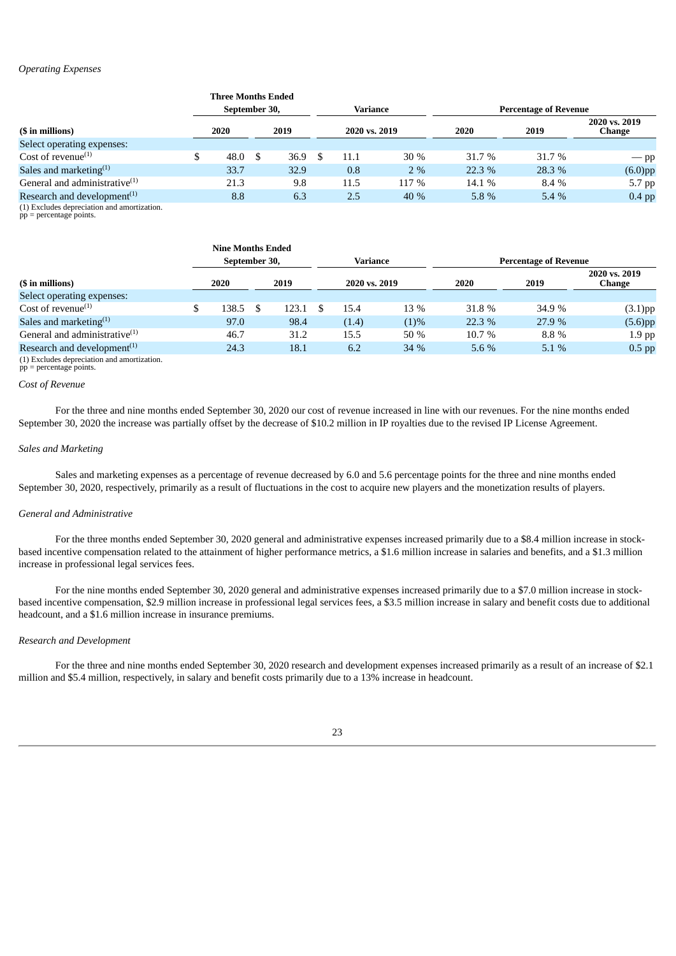### *Operating Expenses*

|                                                       |      | <b>Three Months Ended</b> |  |      |  |               |       |                              |         |                         |  |  |  |
|-------------------------------------------------------|------|---------------------------|--|------|--|---------------|-------|------------------------------|---------|-------------------------|--|--|--|
|                                                       |      | September 30,             |  |      |  | Variance      |       | <b>Percentage of Revenue</b> |         |                         |  |  |  |
| (\$ in millions)                                      | 2020 |                           |  | 2019 |  | 2020 vs. 2019 |       | 2020                         | 2019    | 2020 vs. 2019<br>Change |  |  |  |
| Select operating expenses:                            |      |                           |  |      |  |               |       |                              |         |                         |  |  |  |
| Cost of revenue <sup>(1)</sup>                        |      | 48.0                      |  | 36.9 |  | 11.1          | 30%   | 31.7 %                       | 31.7 %  | $-\mathsf{pp}$          |  |  |  |
| Sales and marketing $(1)$                             |      | 33.7                      |  | 32.9 |  | 0.8           | 2%    | 22.3 %                       | 28.3 %  | $(6.0)$ pp              |  |  |  |
| General and administrative $^{\left(1\right)}$        |      | 21.3                      |  | 9.8  |  | 11.5          | 117 % | 14.1 %                       | $8.4\%$ | 5.7 pp                  |  |  |  |
| Research and development $^{\scriptscriptstyle{(1)}}$ |      | 8.8                       |  | 6.3  |  | 2.5           | 40 %  | 5.8 $%$                      | 5.4%    | $0.4$ pp                |  |  |  |
|                                                       |      |                           |  |      |  |               |       |                              |         |                         |  |  |  |

(1) Excludes depreciation and amortization.

pp = percentage points.

|                                           |      | <b>Nine Months Ended</b> |  |       |  |               |        |                              |        |                         |  |  |  |
|-------------------------------------------|------|--------------------------|--|-------|--|---------------|--------|------------------------------|--------|-------------------------|--|--|--|
|                                           |      | September 30,            |  |       |  | Variance      |        | <b>Percentage of Revenue</b> |        |                         |  |  |  |
| (\$ in millions)                          | 2020 |                          |  | 2019  |  | 2020 vs. 2019 |        | 2020                         | 2019   | 2020 vs. 2019<br>Change |  |  |  |
| Select operating expenses:                |      |                          |  |       |  |               |        |                              |        |                         |  |  |  |
| Cost of revenue $^{(1)}$                  |      | 138.5                    |  | 123.1 |  | 15.4          | $13\%$ | 31.8 %                       | 34.9 % | $(3.1)$ pp              |  |  |  |
| Sales and marketing $(1)$                 |      | 97.0                     |  | 98.4  |  | (1.4)         | (1)%   | 22.3 %                       | 27.9 % | $(5.6)$ pp              |  |  |  |
| General and administrative <sup>(1)</sup> |      | 46.7                     |  | 31.2  |  | 15.5          | 50 %   | 10.7 %                       | 8.8%   | $1.9$ pp                |  |  |  |
| Research and development <sup>(1)</sup>   |      | 24.3                     |  | 18.1  |  | 6.2           | 34 %   | 5.6%                         | 5.1%   | $0.5$ pp                |  |  |  |
|                                           |      |                          |  |       |  |               |        |                              |        |                         |  |  |  |

(1) Excludes depreciation and amortization. pp = percentage points.

#### *Cost of Revenue*

For the three and nine months ended September 30, 2020 our cost of revenue increased in line with our revenues. For the nine months ended September 30, 2020 the increase was partially offset by the decrease of \$10.2 million in IP royalties due to the revised IP License Agreement.

### *Sales and Marketing*

Sales and marketing expenses as a percentage of revenue decreased by 6.0 and 5.6 percentage points for the three and nine months ended September 30, 2020, respectively, primarily as a result of fluctuations in the cost to acquire new players and the monetization results of players.

#### *General and Administrative*

For the three months ended September 30, 2020 general and administrative expenses increased primarily due to a \$8.4 million increase in stockbased incentive compensation related to the attainment of higher performance metrics, a \$1.6 million increase in salaries and benefits, and a \$1.3 million increase in professional legal services fees.

For the nine months ended September 30, 2020 general and administrative expenses increased primarily due to a \$7.0 million increase in stockbased incentive compensation, \$2.9 million increase in professional legal services fees, a \$3.5 million increase in salary and benefit costs due to additional headcount, and a \$1.6 million increase in insurance premiums.

#### *Research and Development*

For the three and nine months ended September 30, 2020 research and development expenses increased primarily as a result of an increase of \$2.1 million and \$5.4 million, respectively, in salary and benefit costs primarily due to a 13% increase in headcount.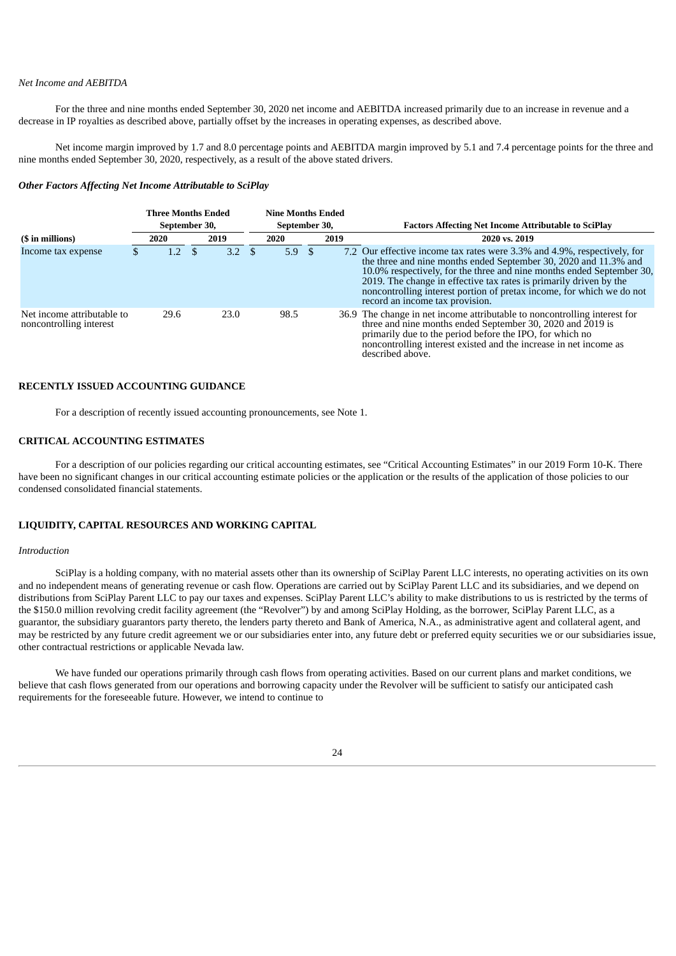## *Net Income and AEBITDA*

For the three and nine months ended September 30, 2020 net income and AEBITDA increased primarily due to an increase in revenue and a decrease in IP royalties as described above, partially offset by the increases in operating expenses, as described above.

Net income margin improved by 1.7 and 8.0 percentage points and AEBITDA margin improved by 5.1 and 7.4 percentage points for the three and nine months ended September 30, 2020, respectively, as a result of the above stated drivers.

## *Other Factors Affecting Net Income Attributable to SciPlay*

|                                                       |    | <b>Three Months Ended</b> |  |      |               | <b>Nine Months Ended</b> |     |      |                                                                                                                                                                                                                                                                                                                                                                                                         |  |  |  |  |
|-------------------------------------------------------|----|---------------------------|--|------|---------------|--------------------------|-----|------|---------------------------------------------------------------------------------------------------------------------------------------------------------------------------------------------------------------------------------------------------------------------------------------------------------------------------------------------------------------------------------------------------------|--|--|--|--|
|                                                       |    | September 30,             |  |      | September 30, |                          |     |      | <b>Factors Affecting Net Income Attributable to SciPlay</b>                                                                                                                                                                                                                                                                                                                                             |  |  |  |  |
| (\$ in millions)                                      |    | 2020                      |  | 2019 |               | 2020                     |     | 2019 | 2020 vs. 2019                                                                                                                                                                                                                                                                                                                                                                                           |  |  |  |  |
| Income tax expense                                    | D. | 1.2                       |  | 3.2  | -S            | 5.9                      | -\$ |      | 7.2 Our effective income tax rates were 3.3% and 4.9%, respectively, for<br>the three and nine months ended September 30, 2020 and 11.3% and<br>10.0% respectively, for the three and nine months ended September 30,<br>2019. The change in effective tax rates is primarily driven by the<br>noncontrolling interest portion of pretax income, for which we do not<br>record an income tax provision. |  |  |  |  |
| Net income attributable to<br>noncontrolling interest |    | 29.6                      |  | 23.0 |               | 98.5                     |     |      | 36.9 The change in net income attributable to noncontrolling interest for<br>three and nine months ended September 30, 2020 and 2019 is<br>primarily due to the period before the IPO, for which no<br>noncontrolling interest existed and the increase in net income as<br>described above.                                                                                                            |  |  |  |  |

# **RECENTLY ISSUED ACCOUNTING GUIDANCE**

For a description of recently issued accounting pronouncements, see Note 1.

# **CRITICAL ACCOUNTING ESTIMATES**

For a description of our policies regarding our critical accounting estimates, see "Critical Accounting Estimates" in our 2019 Form 10-K. There have been no significant changes in our critical accounting estimate policies or the application or the results of the application of those policies to our condensed consolidated financial statements.

## **LIQUIDITY, CAPITAL RESOURCES AND WORKING CAPITAL**

#### *Introduction*

SciPlay is a holding company, with no material assets other than its ownership of SciPlay Parent LLC interests, no operating activities on its own and no independent means of generating revenue or cash flow. Operations are carried out by SciPlay Parent LLC and its subsidiaries, and we depend on distributions from SciPlay Parent LLC to pay our taxes and expenses. SciPlay Parent LLC's ability to make distributions to us is restricted by the terms of the \$150.0 million revolving credit facility agreement (the "Revolver") by and among SciPlay Holding, as the borrower, SciPlay Parent LLC, as a guarantor, the subsidiary guarantors party thereto, the lenders party thereto and Bank of America, N.A., as administrative agent and collateral agent, and may be restricted by any future credit agreement we or our subsidiaries enter into, any future debt or preferred equity securities we or our subsidiaries issue, other contractual restrictions or applicable Nevada law.

We have funded our operations primarily through cash flows from operating activities. Based on our current plans and market conditions, we believe that cash flows generated from our operations and borrowing capacity under the Revolver will be sufficient to satisfy our anticipated cash requirements for the foreseeable future. However, we intend to continue to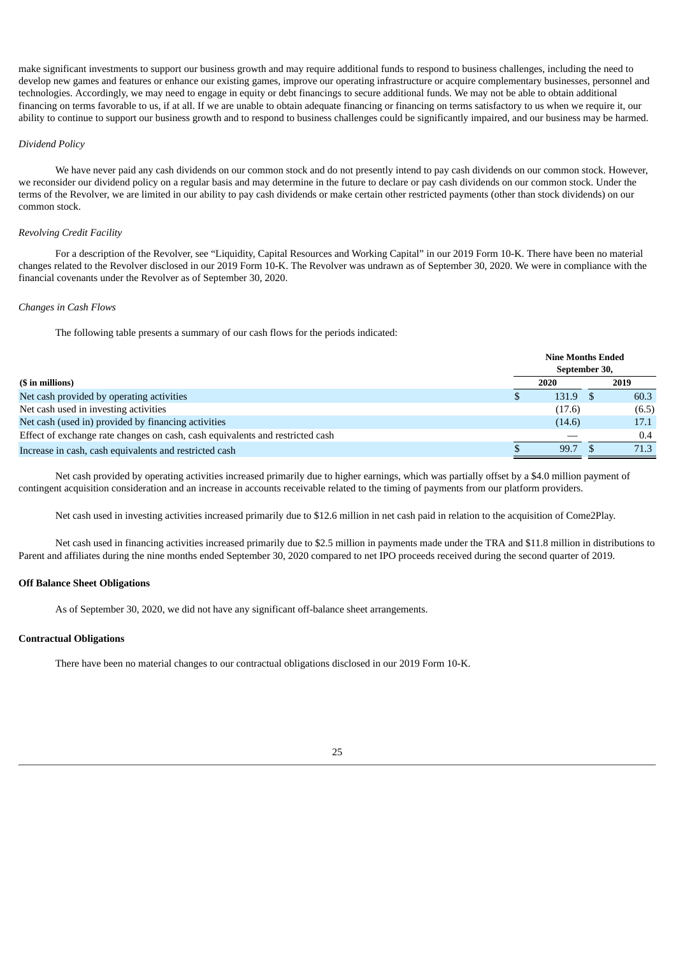make significant investments to support our business growth and may require additional funds to respond to business challenges, including the need to develop new games and features or enhance our existing games, improve our operating infrastructure or acquire complementary businesses, personnel and technologies. Accordingly, we may need to engage in equity or debt financings to secure additional funds. We may not be able to obtain additional financing on terms favorable to us, if at all. If we are unable to obtain adequate financing or financing on terms satisfactory to us when we require it, our ability to continue to support our business growth and to respond to business challenges could be significantly impaired, and our business may be harmed.

### *Dividend Policy*

We have never paid any cash dividends on our common stock and do not presently intend to pay cash dividends on our common stock. However, we reconsider our dividend policy on a regular basis and may determine in the future to declare or pay cash dividends on our common stock. Under the terms of the Revolver, we are limited in our ability to pay cash dividends or make certain other restricted payments (other than stock dividends) on our common stock.

#### *Revolving Credit Facility*

For a description of the Revolver, see "Liquidity, Capital Resources and Working Capital" in our 2019 Form 10-K. There have been no material changes related to the Revolver disclosed in our 2019 Form 10-K. The Revolver was undrawn as of September 30, 2020. We were in compliance with the financial covenants under the Revolver as of September 30, 2020.

### *Changes in Cash Flows*

The following table presents a summary of our cash flows for the periods indicated:

|                                                                               | <b>Nine Months Ended</b> |  |       |  |  |
|-------------------------------------------------------------------------------|--------------------------|--|-------|--|--|
|                                                                               | September 30,            |  |       |  |  |
| (\$ in millions)                                                              | 2020                     |  | 2019  |  |  |
| Net cash provided by operating activities                                     | 131.9                    |  | 60.3  |  |  |
| Net cash used in investing activities                                         | (17.6)                   |  | (6.5) |  |  |
| Net cash (used in) provided by financing activities                           | (14.6)                   |  | 17.1  |  |  |
| Effect of exchange rate changes on cash, cash equivalents and restricted cash |                          |  | 0.4   |  |  |
| Increase in cash, cash equivalents and restricted cash                        | 99.7                     |  | 71.3  |  |  |

Net cash provided by operating activities increased primarily due to higher earnings, which was partially offset by a \$4.0 million payment of contingent acquisition consideration and an increase in accounts receivable related to the timing of payments from our platform providers.

Net cash used in investing activities increased primarily due to \$12.6 million in net cash paid in relation to the acquisition of Come2Play.

Net cash used in financing activities increased primarily due to \$2.5 million in payments made under the TRA and \$11.8 million in distributions to Parent and affiliates during the nine months ended September 30, 2020 compared to net IPO proceeds received during the second quarter of 2019.

## **Off Balance Sheet Obligations**

As of September 30, 2020, we did not have any significant off-balance sheet arrangements.

# **Contractual Obligations**

There have been no material changes to our contractual obligations disclosed in our 2019 Form 10-K.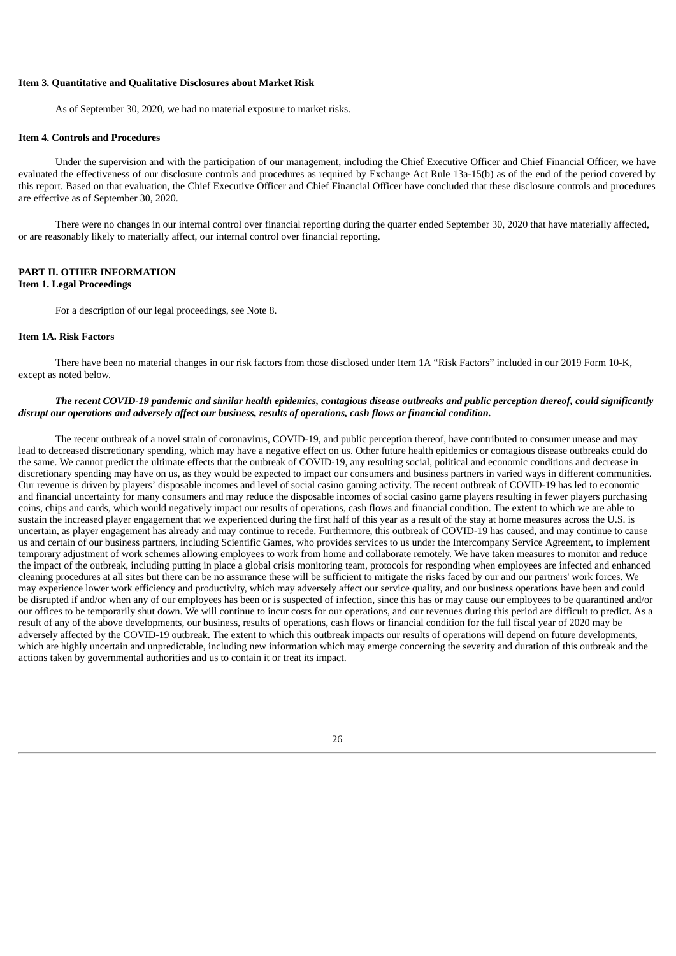### <span id="page-25-0"></span>**Item 3. Quantitative and Qualitative Disclosures about Market Risk**

As of September 30, 2020, we had no material exposure to market risks.

#### <span id="page-25-1"></span>**Item 4. Controls and Procedures**

Under the supervision and with the participation of our management, including the Chief Executive Officer and Chief Financial Officer, we have evaluated the effectiveness of our disclosure controls and procedures as required by Exchange Act Rule 13a-15(b) as of the end of the period covered by this report. Based on that evaluation, the Chief Executive Officer and Chief Financial Officer have concluded that these disclosure controls and procedures are effective as of September 30, 2020.

There were no changes in our internal control over financial reporting during the quarter ended September 30, 2020 that have materially affected, or are reasonably likely to materially affect, our internal control over financial reporting.

# <span id="page-25-3"></span><span id="page-25-2"></span>**PART II. OTHER INFORMATION Item 1. Legal Proceedings**

For a description of our legal proceedings, see Note 8.

### <span id="page-25-4"></span>**Item 1A. Risk Factors**

There have been no material changes in our risk factors from those disclosed under Item 1A "Risk Factors" included in our 2019 Form 10-K, except as noted below.

#### The recent COVID-19 pandemic and similar health epidemics, contagious disease outbreaks and public perception thereof, could significantly disrupt our operations and adversely affect our business, results of operations, cash flows or financial condition.

<span id="page-25-5"></span>The recent outbreak of a novel strain of coronavirus, COVID-19, and public perception thereof, have contributed to consumer unease and may lead to decreased discretionary spending, which may have a negative effect on us. Other future health epidemics or contagious disease outbreaks could do the same. We cannot predict the ultimate effects that the outbreak of COVID-19, any resulting social, political and economic conditions and decrease in discretionary spending may have on us, as they would be expected to impact our consumers and business partners in varied ways in different communities. Our revenue is driven by players' disposable incomes and level of social casino gaming activity. The recent outbreak of COVID-19 has led to economic and financial uncertainty for many consumers and may reduce the disposable incomes of social casino game players resulting in fewer players purchasing coins, chips and cards, which would negatively impact our results of operations, cash flows and financial condition. The extent to which we are able to sustain the increased player engagement that we experienced during the first half of this year as a result of the stay at home measures across the U.S. is uncertain, as player engagement has already and may continue to recede. Furthermore, this outbreak of COVID-19 has caused, and may continue to cause us and certain of our business partners, including Scientific Games, who provides services to us under the Intercompany Service Agreement, to implement temporary adjustment of work schemes allowing employees to work from home and collaborate remotely. We have taken measures to monitor and reduce the impact of the outbreak, including putting in place a global crisis monitoring team, protocols for responding when employees are infected and enhanced cleaning procedures at all sites but there can be no assurance these will be sufficient to mitigate the risks faced by our and our partners' work forces. We may experience lower work efficiency and productivity, which may adversely affect our service quality, and our business operations have been and could be disrupted if and/or when any of our employees has been or is suspected of infection, since this has or may cause our employees to be quarantined and/or our offices to be temporarily shut down. We will continue to incur costs for our operations, and our revenues during this period are difficult to predict. As a result of any of the above developments, our business, results of operations, cash flows or financial condition for the full fiscal year of 2020 may be adversely affected by the COVID-19 outbreak. The extent to which this outbreak impacts our results of operations will depend on future developments, which are highly uncertain and unpredictable, including new information which may emerge concerning the severity and duration of this outbreak and the actions taken by governmental authorities and us to contain it or treat its impact.

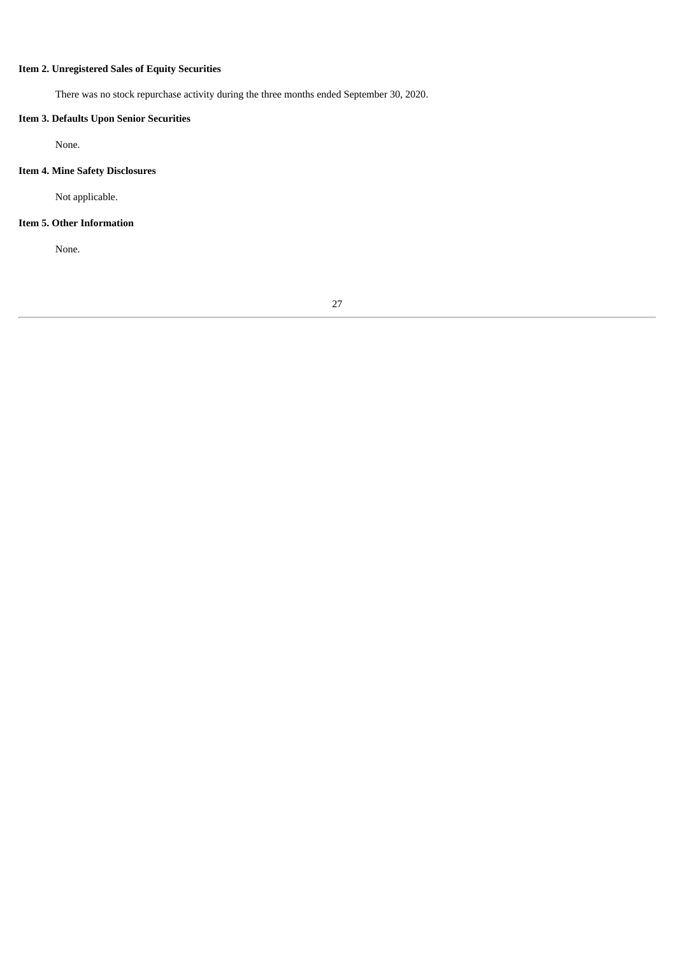# **Item 2. Unregistered Sales of Equity Securities**

There was no stock repurchase activity during the three months ended September 30, 2020.

# <span id="page-26-0"></span>**Item 3. Defaults Upon Senior Securities**

None.

# <span id="page-26-1"></span>**Item 4. Mine Safety Disclosures**

Not applicable.

# <span id="page-26-2"></span>**Item 5. Other Information**

<span id="page-26-3"></span>None.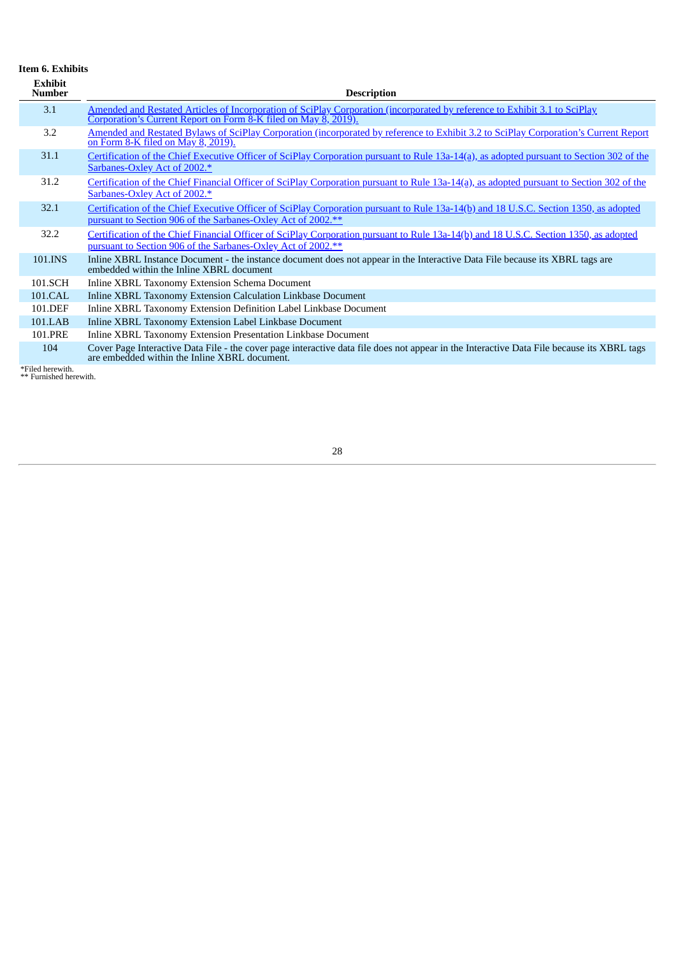| Item 6. Exhibits                |                                                                                                                                                                                                       |
|---------------------------------|-------------------------------------------------------------------------------------------------------------------------------------------------------------------------------------------------------|
| <b>Exhibit</b><br><b>Number</b> | <b>Description</b>                                                                                                                                                                                    |
| 3.1                             | Amended and Restated Articles of Incorporation of SciPlay Corporation (incorporated by reference to Exhibit 3.1 to SciPlay<br>Corporation's Current Report on Form 8-K filed on May 8, 2019).         |
| 3.2                             | Amended and Restated Bylaws of SciPlay Corporation (incorporated by reference to Exhibit 3.2 to SciPlay Corporation's Current Report<br>on Form 8-K filed on May 8, 2019).                            |
| 31.1                            | Certification of the Chief Executive Officer of SciPlay Corporation pursuant to Rule 13a-14(a), as adopted pursuant to Section 302 of the<br>Sarbanes-Oxley Act of 2002.*                             |
| 31.2                            | Certification of the Chief Financial Officer of SciPlay Corporation pursuant to Rule 13a-14(a), as adopted pursuant to Section 302 of the<br>Sarbanes-Oxley Act of 2002.*                             |
| 32.1                            | Certification of the Chief Executive Officer of SciPlay Corporation pursuant to Rule 13a-14(b) and 18 U.S.C. Section 1350, as adopted<br>pursuant to Section 906 of the Sarbanes-Oxley Act of 2002.** |
| 32.2                            | Certification of the Chief Financial Officer of SciPlay Corporation pursuant to Rule 13a-14(b) and 18 U.S.C. Section 1350, as adopted<br>pursuant to Section 906 of the Sarbanes-Oxley Act of 2002.** |
| 101.INS                         | Inline XBRL Instance Document - the instance document does not appear in the Interactive Data File because its XBRL tags are<br>embedded within the Inline XBRL document                              |
| 101.SCH                         | Inline XBRL Taxonomy Extension Schema Document                                                                                                                                                        |
| 101.CAL                         | Inline XBRL Taxonomy Extension Calculation Linkbase Document                                                                                                                                          |
| 101.DEF                         | Inline XBRL Taxonomy Extension Definition Label Linkbase Document                                                                                                                                     |
| 101.LAB                         | Inline XBRL Taxonomy Extension Label Linkbase Document                                                                                                                                                |
| 101.PRE                         | Inline XBRL Taxonomy Extension Presentation Linkbase Document                                                                                                                                         |
| 104                             | Cover Page Interactive Data File - the cover page interactive data file does not appear in the Interactive Data File because its XBRL tags<br>are embedded within the Inline XBRL document.           |
| *Filed herewith.                |                                                                                                                                                                                                       |

\*Filed herewith. \*\* Furnished herewith.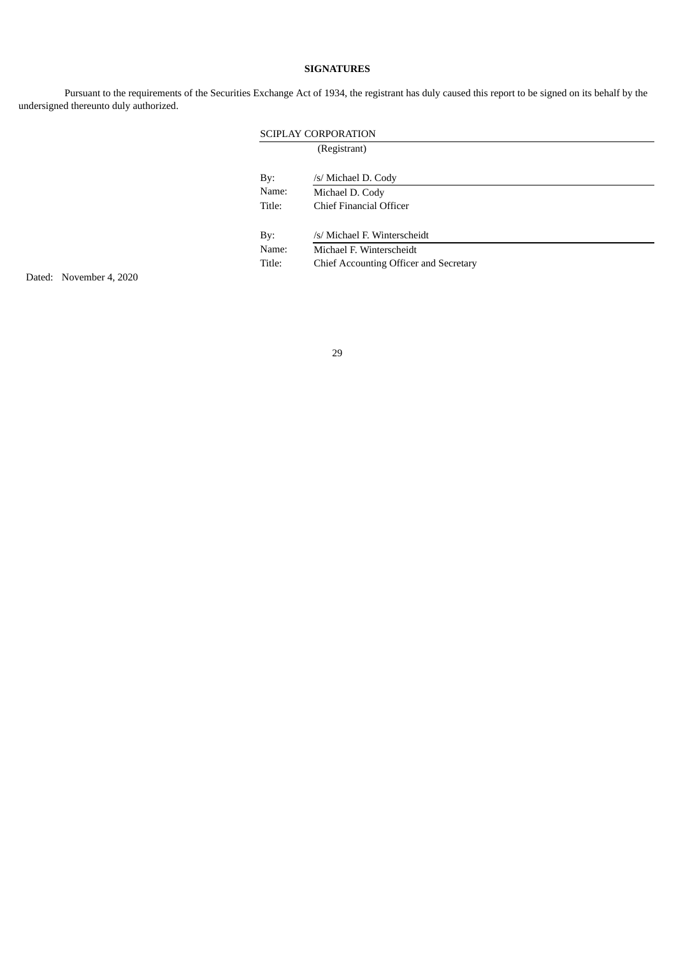# **SIGNATURES**

Pursuant to the requirements of the Securities Exchange Act of 1934, the registrant has duly caused this report to be signed on its behalf by the undersigned thereunto duly authorized.

|        | <b>SCIPLAY CORPORATION</b>             |  |  |  |  |  |  |  |  |
|--------|----------------------------------------|--|--|--|--|--|--|--|--|
|        | (Registrant)                           |  |  |  |  |  |  |  |  |
|        |                                        |  |  |  |  |  |  |  |  |
| By:    | /s/ Michael D. Cody                    |  |  |  |  |  |  |  |  |
| Name:  | Michael D. Cody                        |  |  |  |  |  |  |  |  |
| Title: | Chief Financial Officer                |  |  |  |  |  |  |  |  |
|        |                                        |  |  |  |  |  |  |  |  |
| By:    | /s/ Michael F. Winterscheidt           |  |  |  |  |  |  |  |  |
| Name:  | Michael F. Winterscheidt               |  |  |  |  |  |  |  |  |
| Title: | Chief Accounting Officer and Secretary |  |  |  |  |  |  |  |  |
|        |                                        |  |  |  |  |  |  |  |  |

Dated: November 4, 2020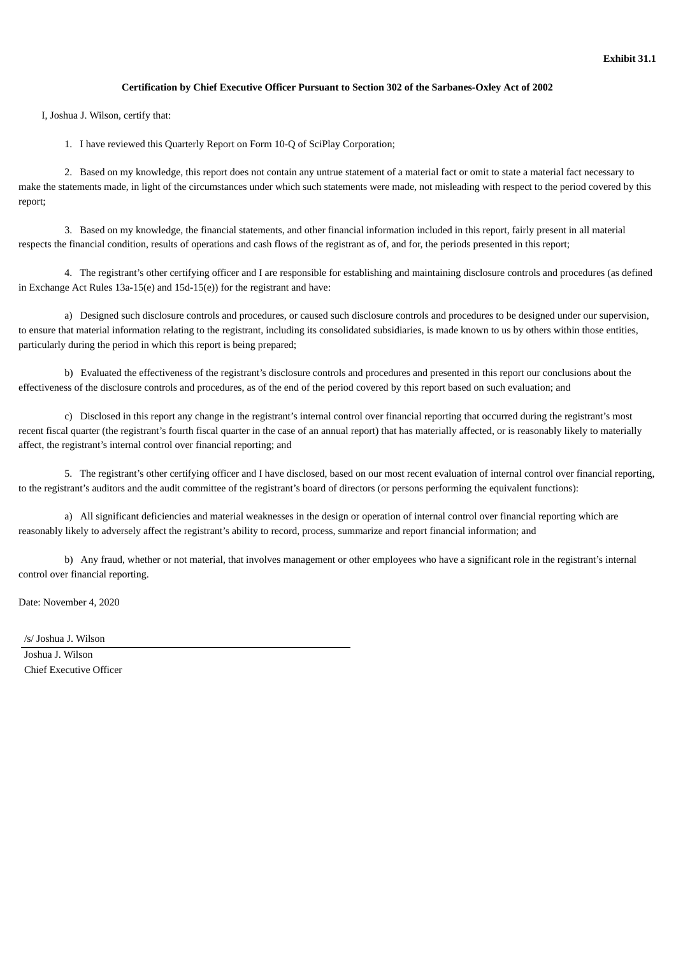### **Certification by Chief Executive Officer Pursuant to Section 302 of the Sarbanes-Oxley Act of 2002**

<span id="page-29-0"></span>I, Joshua J. Wilson, certify that:

1. I have reviewed this Quarterly Report on Form 10-Q of SciPlay Corporation;

2. Based on my knowledge, this report does not contain any untrue statement of a material fact or omit to state a material fact necessary to make the statements made, in light of the circumstances under which such statements were made, not misleading with respect to the period covered by this report;

3. Based on my knowledge, the financial statements, and other financial information included in this report, fairly present in all material respects the financial condition, results of operations and cash flows of the registrant as of, and for, the periods presented in this report;

4. The registrant's other certifying officer and I are responsible for establishing and maintaining disclosure controls and procedures (as defined in Exchange Act Rules 13a-15(e) and 15d-15(e)) for the registrant and have:

a) Designed such disclosure controls and procedures, or caused such disclosure controls and procedures to be designed under our supervision, to ensure that material information relating to the registrant, including its consolidated subsidiaries, is made known to us by others within those entities, particularly during the period in which this report is being prepared;

b) Evaluated the effectiveness of the registrant's disclosure controls and procedures and presented in this report our conclusions about the effectiveness of the disclosure controls and procedures, as of the end of the period covered by this report based on such evaluation; and

c) Disclosed in this report any change in the registrant's internal control over financial reporting that occurred during the registrant's most recent fiscal quarter (the registrant's fourth fiscal quarter in the case of an annual report) that has materially affected, or is reasonably likely to materially affect, the registrant's internal control over financial reporting; and

5. The registrant's other certifying officer and I have disclosed, based on our most recent evaluation of internal control over financial reporting, to the registrant's auditors and the audit committee of the registrant's board of directors (or persons performing the equivalent functions):

a) All significant deficiencies and material weaknesses in the design or operation of internal control over financial reporting which are reasonably likely to adversely affect the registrant's ability to record, process, summarize and report financial information; and

b) Any fraud, whether or not material, that involves management or other employees who have a significant role in the registrant's internal control over financial reporting.

Date: November 4, 2020

/s/ Joshua J. Wilson

Joshua J. Wilson Chief Executive Officer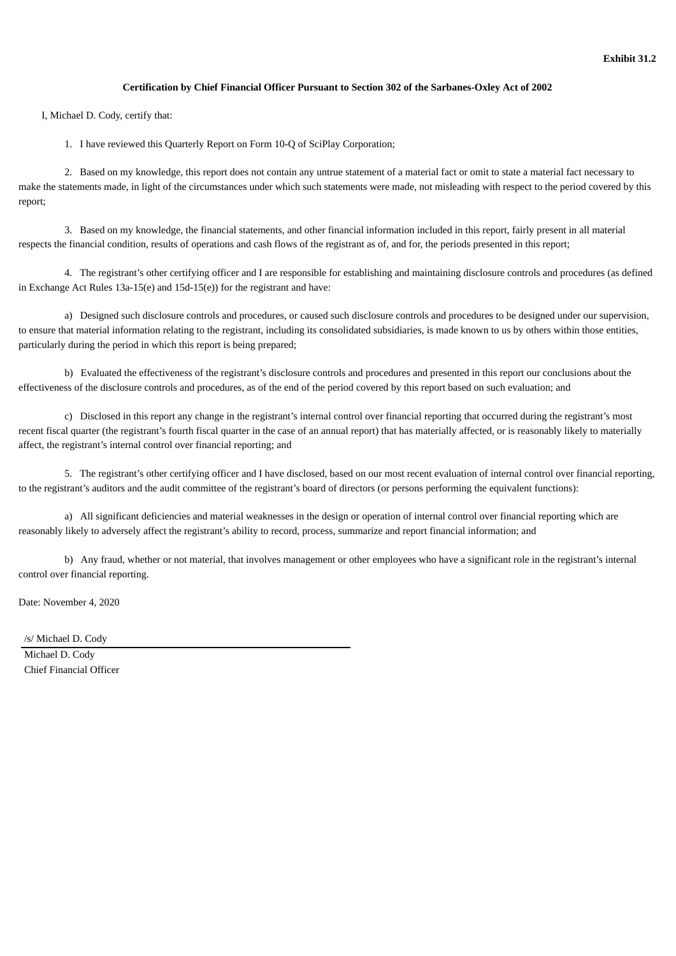# **Certification by Chief Financial Officer Pursuant to Section 302 of the Sarbanes-Oxley Act of 2002**

<span id="page-30-0"></span>I, Michael D. Cody, certify that:

1. I have reviewed this Quarterly Report on Form 10-Q of SciPlay Corporation;

2. Based on my knowledge, this report does not contain any untrue statement of a material fact or omit to state a material fact necessary to make the statements made, in light of the circumstances under which such statements were made, not misleading with respect to the period covered by this report;

3. Based on my knowledge, the financial statements, and other financial information included in this report, fairly present in all material respects the financial condition, results of operations and cash flows of the registrant as of, and for, the periods presented in this report;

4. The registrant's other certifying officer and I are responsible for establishing and maintaining disclosure controls and procedures (as defined in Exchange Act Rules 13a-15(e) and 15d-15(e)) for the registrant and have:

a) Designed such disclosure controls and procedures, or caused such disclosure controls and procedures to be designed under our supervision, to ensure that material information relating to the registrant, including its consolidated subsidiaries, is made known to us by others within those entities, particularly during the period in which this report is being prepared;

b) Evaluated the effectiveness of the registrant's disclosure controls and procedures and presented in this report our conclusions about the effectiveness of the disclosure controls and procedures, as of the end of the period covered by this report based on such evaluation; and

c) Disclosed in this report any change in the registrant's internal control over financial reporting that occurred during the registrant's most recent fiscal quarter (the registrant's fourth fiscal quarter in the case of an annual report) that has materially affected, or is reasonably likely to materially affect, the registrant's internal control over financial reporting; and

5. The registrant's other certifying officer and I have disclosed, based on our most recent evaluation of internal control over financial reporting, to the registrant's auditors and the audit committee of the registrant's board of directors (or persons performing the equivalent functions):

a) All significant deficiencies and material weaknesses in the design or operation of internal control over financial reporting which are reasonably likely to adversely affect the registrant's ability to record, process, summarize and report financial information; and

b) Any fraud, whether or not material, that involves management or other employees who have a significant role in the registrant's internal control over financial reporting.

Date: November 4, 2020

/s/ Michael D. Cody

Michael D. Cody Chief Financial Officer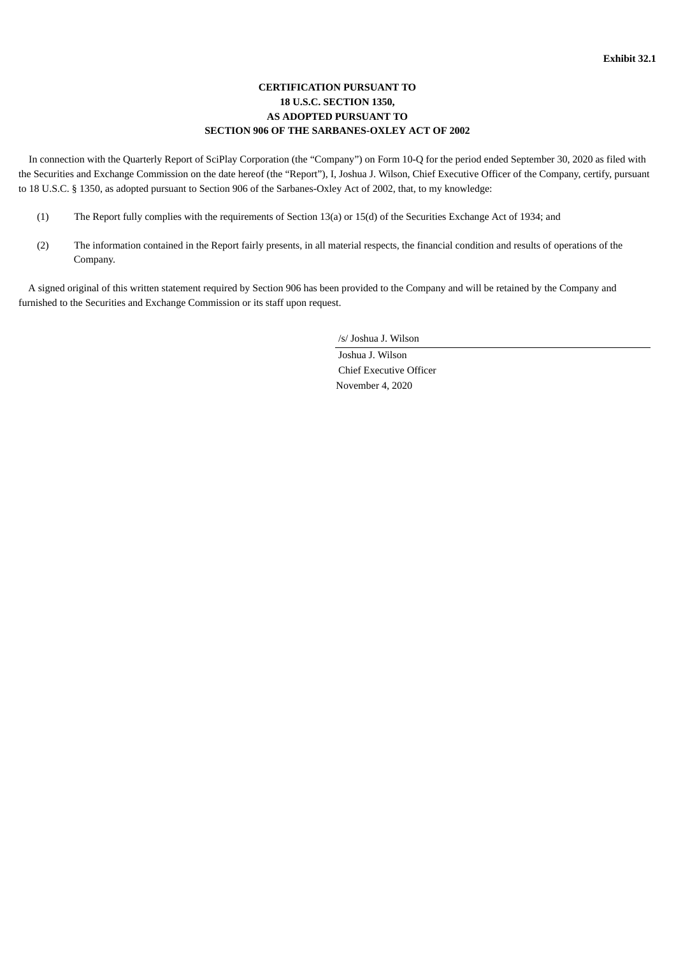# **CERTIFICATION PURSUANT TO 18 U.S.C. SECTION 1350, AS ADOPTED PURSUANT TO SECTION 906 OF THE SARBANES-OXLEY ACT OF 2002**

<span id="page-31-0"></span>In connection with the Quarterly Report of SciPlay Corporation (the "Company") on Form 10-Q for the period ended September 30, 2020 as filed with the Securities and Exchange Commission on the date hereof (the "Report"), I, Joshua J. Wilson, Chief Executive Officer of the Company, certify, pursuant to 18 U.S.C. § 1350, as adopted pursuant to Section 906 of the Sarbanes-Oxley Act of 2002, that, to my knowledge:

- (1) The Report fully complies with the requirements of Section 13(a) or 15(d) of the Securities Exchange Act of 1934; and
- (2) The information contained in the Report fairly presents, in all material respects, the financial condition and results of operations of the Company.

A signed original of this written statement required by Section 906 has been provided to the Company and will be retained by the Company and furnished to the Securities and Exchange Commission or its staff upon request.

/s/ Joshua J. Wilson

Joshua J. Wilson Chief Executive Officer November 4, 2020